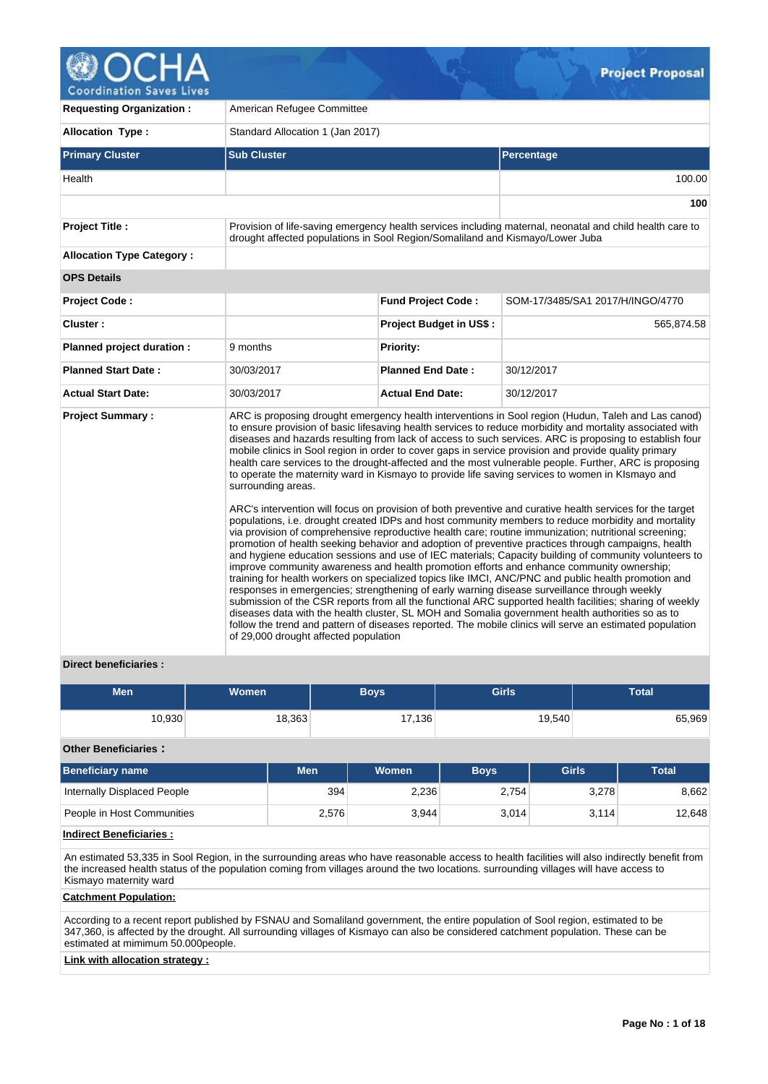

**Coordination Saves Lives** 

| <b>Requesting Organization:</b>  | American Refugee Committee                                                    |                                |                                                                                                                                                                                                                                                                                                                                                                                                                                                                                                                                                                                                                                                                                                                                                                                                                                                                                                                                                                                                                                                                                                                                                                                                                                                                                                                                                                                                                                                                                                                                                                                                                                                                                                                                                                                                                                  |  |  |  |  |  |  |
|----------------------------------|-------------------------------------------------------------------------------|--------------------------------|----------------------------------------------------------------------------------------------------------------------------------------------------------------------------------------------------------------------------------------------------------------------------------------------------------------------------------------------------------------------------------------------------------------------------------------------------------------------------------------------------------------------------------------------------------------------------------------------------------------------------------------------------------------------------------------------------------------------------------------------------------------------------------------------------------------------------------------------------------------------------------------------------------------------------------------------------------------------------------------------------------------------------------------------------------------------------------------------------------------------------------------------------------------------------------------------------------------------------------------------------------------------------------------------------------------------------------------------------------------------------------------------------------------------------------------------------------------------------------------------------------------------------------------------------------------------------------------------------------------------------------------------------------------------------------------------------------------------------------------------------------------------------------------------------------------------------------|--|--|--|--|--|--|
| <b>Allocation Type:</b>          | Standard Allocation 1 (Jan 2017)                                              |                                |                                                                                                                                                                                                                                                                                                                                                                                                                                                                                                                                                                                                                                                                                                                                                                                                                                                                                                                                                                                                                                                                                                                                                                                                                                                                                                                                                                                                                                                                                                                                                                                                                                                                                                                                                                                                                                  |  |  |  |  |  |  |
| <b>Primary Cluster</b>           | <b>Sub Cluster</b>                                                            |                                | Percentage                                                                                                                                                                                                                                                                                                                                                                                                                                                                                                                                                                                                                                                                                                                                                                                                                                                                                                                                                                                                                                                                                                                                                                                                                                                                                                                                                                                                                                                                                                                                                                                                                                                                                                                                                                                                                       |  |  |  |  |  |  |
| Health                           |                                                                               |                                | 100.00                                                                                                                                                                                                                                                                                                                                                                                                                                                                                                                                                                                                                                                                                                                                                                                                                                                                                                                                                                                                                                                                                                                                                                                                                                                                                                                                                                                                                                                                                                                                                                                                                                                                                                                                                                                                                           |  |  |  |  |  |  |
|                                  |                                                                               |                                | 100                                                                                                                                                                                                                                                                                                                                                                                                                                                                                                                                                                                                                                                                                                                                                                                                                                                                                                                                                                                                                                                                                                                                                                                                                                                                                                                                                                                                                                                                                                                                                                                                                                                                                                                                                                                                                              |  |  |  |  |  |  |
| <b>Project Title:</b>            | drought affected populations in Sool Region/Somaliland and Kismayo/Lower Juba |                                | Provision of life-saving emergency health services including maternal, neonatal and child health care to                                                                                                                                                                                                                                                                                                                                                                                                                                                                                                                                                                                                                                                                                                                                                                                                                                                                                                                                                                                                                                                                                                                                                                                                                                                                                                                                                                                                                                                                                                                                                                                                                                                                                                                         |  |  |  |  |  |  |
| <b>Allocation Type Category:</b> |                                                                               |                                |                                                                                                                                                                                                                                                                                                                                                                                                                                                                                                                                                                                                                                                                                                                                                                                                                                                                                                                                                                                                                                                                                                                                                                                                                                                                                                                                                                                                                                                                                                                                                                                                                                                                                                                                                                                                                                  |  |  |  |  |  |  |
| <b>OPS Details</b>               |                                                                               |                                |                                                                                                                                                                                                                                                                                                                                                                                                                                                                                                                                                                                                                                                                                                                                                                                                                                                                                                                                                                                                                                                                                                                                                                                                                                                                                                                                                                                                                                                                                                                                                                                                                                                                                                                                                                                                                                  |  |  |  |  |  |  |
| <b>Project Code:</b>             |                                                                               | <b>Fund Project Code:</b>      | SOM-17/3485/SA1 2017/H/INGO/4770                                                                                                                                                                                                                                                                                                                                                                                                                                                                                                                                                                                                                                                                                                                                                                                                                                                                                                                                                                                                                                                                                                                                                                                                                                                                                                                                                                                                                                                                                                                                                                                                                                                                                                                                                                                                 |  |  |  |  |  |  |
| Cluster:                         |                                                                               | <b>Project Budget in US\$:</b> | 565,874.58                                                                                                                                                                                                                                                                                                                                                                                                                                                                                                                                                                                                                                                                                                                                                                                                                                                                                                                                                                                                                                                                                                                                                                                                                                                                                                                                                                                                                                                                                                                                                                                                                                                                                                                                                                                                                       |  |  |  |  |  |  |
| Planned project duration :       | 9 months                                                                      | <b>Priority:</b>               |                                                                                                                                                                                                                                                                                                                                                                                                                                                                                                                                                                                                                                                                                                                                                                                                                                                                                                                                                                                                                                                                                                                                                                                                                                                                                                                                                                                                                                                                                                                                                                                                                                                                                                                                                                                                                                  |  |  |  |  |  |  |
| <b>Planned Start Date:</b>       | 30/03/2017                                                                    | <b>Planned End Date:</b>       | 30/12/2017                                                                                                                                                                                                                                                                                                                                                                                                                                                                                                                                                                                                                                                                                                                                                                                                                                                                                                                                                                                                                                                                                                                                                                                                                                                                                                                                                                                                                                                                                                                                                                                                                                                                                                                                                                                                                       |  |  |  |  |  |  |
| <b>Actual Start Date:</b>        | 30/03/2017                                                                    | <b>Actual End Date:</b>        | 30/12/2017                                                                                                                                                                                                                                                                                                                                                                                                                                                                                                                                                                                                                                                                                                                                                                                                                                                                                                                                                                                                                                                                                                                                                                                                                                                                                                                                                                                                                                                                                                                                                                                                                                                                                                                                                                                                                       |  |  |  |  |  |  |
| <b>Project Summary:</b>          | surrounding areas.<br>of 29,000 drought affected population                   |                                | ARC is proposing drought emergency health interventions in Sool region (Hudun, Taleh and Las canod)<br>to ensure provision of basic lifesaving health services to reduce morbidity and mortality associated with<br>diseases and hazards resulting from lack of access to such services. ARC is proposing to establish four<br>mobile clinics in Sool region in order to cover gaps in service provision and provide quality primary<br>health care services to the drought-affected and the most vulnerable people. Further, ARC is proposing<br>to operate the maternity ward in Kismayo to provide life saving services to women in KIsmayo and<br>ARC's intervention will focus on provision of both preventive and curative health services for the target<br>populations, i.e. drought created IDPs and host community members to reduce morbidity and mortality<br>via provision of comprehensive reproductive health care; routine immunization; nutritional screening;<br>promotion of health seeking behavior and adoption of preventive practices through campaigns, health<br>and hygiene education sessions and use of IEC materials; Capacity building of community volunteers to<br>improve community awareness and health promotion efforts and enhance community ownership;<br>training for health workers on specialized topics like IMCI, ANC/PNC and public health promotion and<br>responses in emergencies; strengthening of early warning disease surveillance through weekly<br>submission of the CSR reports from all the functional ARC supported health facilities; sharing of weekly<br>diseases data with the health cluster, SL MOH and Somalia government health authorities so as to<br>follow the trend and pattern of diseases reported. The mobile clinics will serve an estimated population |  |  |  |  |  |  |

# **Direct beneficiaries :**

| <b>Men</b> | Women <sup>1</sup> | <b>Boys</b> | <b>Girls</b> | <b>Total</b> |
|------------|--------------------|-------------|--------------|--------------|
| 10,930     | 18,363             | 17,136      | 19,540       | 65,969       |

## **Other Beneficiaries :**

| <b>Beneficiary name</b>     | <b>Men</b> | Women | <b>Boys</b> | Girls | <b>Total</b> |
|-----------------------------|------------|-------|-------------|-------|--------------|
| Internally Displaced People | 394        | 2,236 | 2.754       | 3,278 | 8,662        |
| People in Host Communities  | 2,576      | 3.944 | 3.014       | 3,114 | 12.648       |

# **Indirect Beneficiaries :**

An estimated 53,335 in Sool Region, in the surrounding areas who have reasonable access to health facilities will also indirectly benefit from the increased health status of the population coming from villages around the two locations. surrounding villages will have access to Kismayo maternity ward

# **Catchment Population:**

According to a recent report published by FSNAU and Somaliland government, the entire population of Sool region, estimated to be 347,360, is affected by the drought. All surrounding villages of Kismayo can also be considered catchment population. These can be estimated at mimimum 50.000people.

# **Link with allocation strategy :**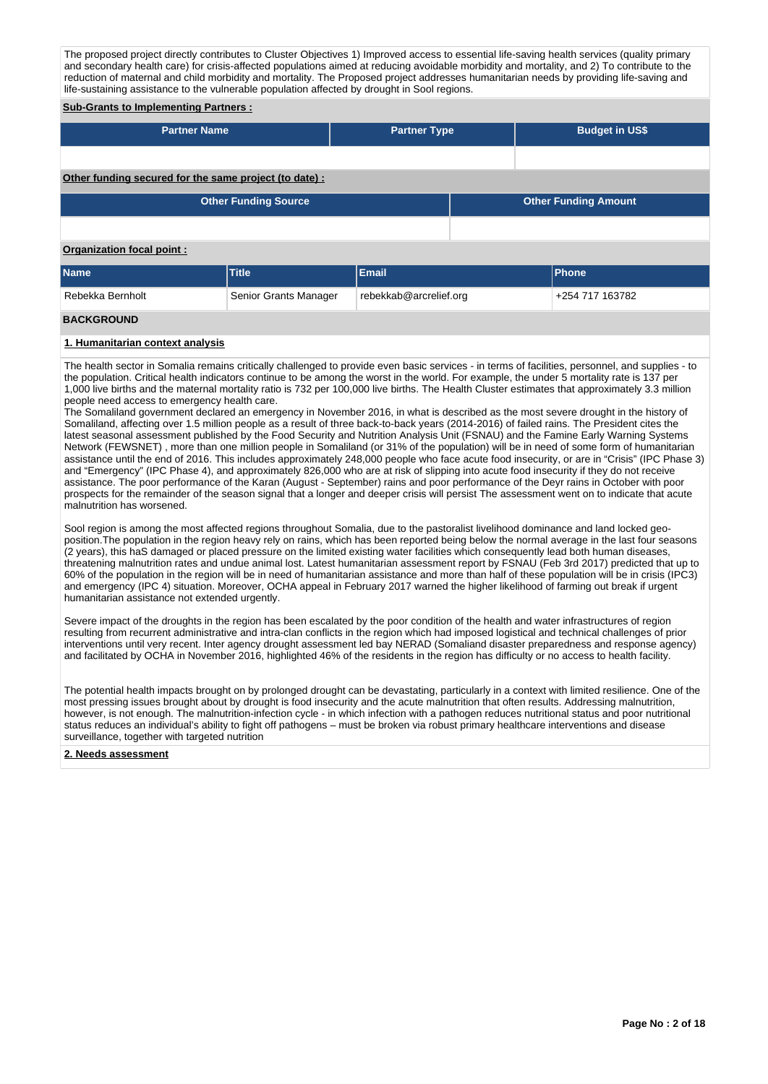The proposed project directly contributes to Cluster Objectives 1) Improved access to essential life-saving health services (quality primary and secondary health care) for crisis-affected populations aimed at reducing avoidable morbidity and mortality, and 2) To contribute to the reduction of maternal and child morbidity and mortality. The Proposed project addresses humanitarian needs by providing life-saving and life-sustaining assistance to the vulnerable population affected by drought in Sool regions.

# **Sub-Grants to Implementing Partners :**

| <b>Partner Name</b>                                   | <b>Partner Type</b> | <b>Budget in US\$</b> |
|-------------------------------------------------------|---------------------|-----------------------|
|                                                       |                     |                       |
| Other funding secured for the same project (to date): |                     |                       |

| <b>Other Funding Source</b> | Other Funding Amount |
|-----------------------------|----------------------|
|                             |                      |

# **Organization focal point :**

| <b>Name</b>      | Title <sup>1</sup>    | Email                  | <b>Phone</b>    |
|------------------|-----------------------|------------------------|-----------------|
| Rebekka Bernholt | Senior Grants Manager | rebekkab@arcrelief.org | +254 717 163782 |

### **BACKGROUND**

# **1. Humanitarian context analysis**

The health sector in Somalia remains critically challenged to provide even basic services - in terms of facilities, personnel, and supplies - to the population. Critical health indicators continue to be among the worst in the world. For example, the under 5 mortality rate is 137 per 1,000 live births and the maternal mortality ratio is 732 per 100,000 live births. The Health Cluster estimates that approximately 3.3 million people need access to emergency health care.

The Somaliland government declared an emergency in November 2016, in what is described as the most severe drought in the history of Somaliland, affecting over 1.5 million people as a result of three back-to-back years (2014-2016) of failed rains. The President cites the latest seasonal assessment published by the Food Security and Nutrition Analysis Unit (FSNAU) and the Famine Early Warning Systems Network (FEWSNET) , more than one million people in Somaliland (or 31% of the population) will be in need of some form of humanitarian assistance until the end of 2016. This includes approximately 248,000 people who face acute food insecurity, or are in "Crisis" (IPC Phase 3) and "Emergency" (IPC Phase 4), and approximately 826,000 who are at risk of slipping into acute food insecurity if they do not receive assistance. The poor performance of the Karan (August - September) rains and poor performance of the Deyr rains in October with poor prospects for the remainder of the season signal that a longer and deeper crisis will persist The assessment went on to indicate that acute malnutrition has worsened.

Sool region is among the most affected regions throughout Somalia, due to the pastoralist livelihood dominance and land locked geoposition.The population in the region heavy rely on rains, which has been reported being below the normal average in the last four seasons (2 years), this haS damaged or placed pressure on the limited existing water facilities which consequently lead both human diseases, threatening malnutrition rates and undue animal lost. Latest humanitarian assessment report by FSNAU (Feb 3rd 2017) predicted that up to 60% of the population in the region will be in need of humanitarian assistance and more than half of these population will be in crisis (IPC3) and emergency (IPC 4) situation. Moreover, OCHA appeal in February 2017 warned the higher likelihood of farming out break if urgent humanitarian assistance not extended urgently.

Severe impact of the droughts in the region has been escalated by the poor condition of the health and water infrastructures of region resulting from recurrent administrative and intra-clan conflicts in the region which had imposed logistical and technical challenges of prior interventions until very recent. Inter agency drought assessment led bay NERAD (Somaliand disaster preparedness and response agency) and facilitated by OCHA in November 2016, highlighted 46% of the residents in the region has difficulty or no access to health facility.

The potential health impacts brought on by prolonged drought can be devastating, particularly in a context with limited resilience. One of the most pressing issues brought about by drought is food insecurity and the acute malnutrition that often results. Addressing malnutrition, however, is not enough. The malnutrition-infection cycle - in which infection with a pathogen reduces nutritional status and poor nutritional status reduces an individual's ability to fight off pathogens – must be broken via robust primary healthcare interventions and disease surveillance, together with targeted nutrition

### **2. Needs assessment**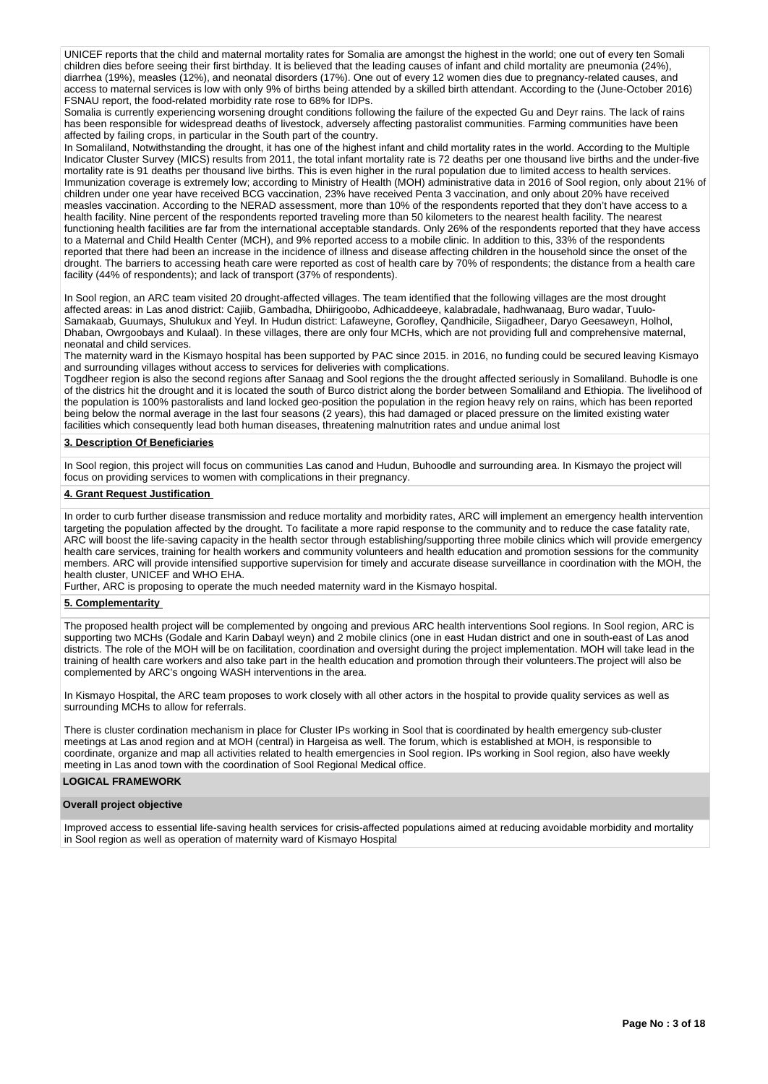UNICEF reports that the child and maternal mortality rates for Somalia are amongst the highest in the world; one out of every ten Somali children dies before seeing their first birthday. It is believed that the leading causes of infant and child mortality are pneumonia (24%), diarrhea (19%), measles (12%), and neonatal disorders (17%). One out of every 12 women dies due to pregnancy-related causes, and access to maternal services is low with only 9% of births being attended by a skilled birth attendant. According to the (June-October 2016) FSNAU report, the food-related morbidity rate rose to 68% for IDPs.

Somalia is currently experiencing worsening drought conditions following the failure of the expected Gu and Deyr rains. The lack of rains has been responsible for widespread deaths of livestock, adversely affecting pastoralist communities. Farming communities have been affected by failing crops, in particular in the South part of the country.

In Somaliland, Notwithstanding the drought, it has one of the highest infant and child mortality rates in the world. According to the Multiple Indicator Cluster Survey (MICS) results from 2011, the total infant mortality rate is 72 deaths per one thousand live births and the under-five mortality rate is 91 deaths per thousand live births. This is even higher in the rural population due to limited access to health services. Immunization coverage is extremely low; according to Ministry of Health (MOH) administrative data in 2016 of Sool region, only about 21% of children under one year have received BCG vaccination, 23% have received Penta 3 vaccination, and only about 20% have received measles vaccination. According to the NERAD assessment, more than 10% of the respondents reported that they don't have access to a health facility. Nine percent of the respondents reported traveling more than 50 kilometers to the nearest health facility. The nearest functioning health facilities are far from the international acceptable standards. Only 26% of the respondents reported that they have access to a Maternal and Child Health Center (MCH), and 9% reported access to a mobile clinic. In addition to this, 33% of the respondents reported that there had been an increase in the incidence of illness and disease affecting children in the household since the onset of the drought. The barriers to accessing heath care were reported as cost of health care by 70% of respondents; the distance from a health care facility (44% of respondents); and lack of transport (37% of respondents).

In Sool region, an ARC team visited 20 drought-affected villages. The team identified that the following villages are the most drought affected areas: in Las anod district: Cajiib, Gambadha, Dhiirigoobo, Adhicaddeeye, kalabradale, hadhwanaag, Buro wadar, Tuulo-Samakaab, Guumays, Shulukux and Yeyl. In Hudun district: Lafaweyne, Gorofley, Qandhicile, Siigadheer, Daryo Geesaweyn, Holhol, Dhaban, Owrgoobays and Kulaal). In these villages, there are only four MCHs, which are not providing full and comprehensive maternal, neonatal and child services.

The maternity ward in the Kismayo hospital has been supported by PAC since 2015. in 2016, no funding could be secured leaving Kismayo and surrounding villages without access to services for deliveries with complications.

Togdheer region is also the second regions after Sanaag and Sool regions the the drought affected seriously in Somaliland. Buhodle is one of the districs hit the drought and it is located the south of Burco district along the border between Somaliland and Ethiopia. The livelihood of the population is 100% pastoralists and land locked geo-position the population in the region heavy rely on rains, which has been reported being below the normal average in the last four seasons (2 years), this had damaged or placed pressure on the limited existing water facilities which consequently lead both human diseases, threatening malnutrition rates and undue animal lost

### **3. Description Of Beneficiaries**

In Sool region, this project will focus on communities Las canod and Hudun, Buhoodle and surrounding area. In Kismayo the project will focus on providing services to women with complications in their pregnancy.

### **4. Grant Request Justification**

In order to curb further disease transmission and reduce mortality and morbidity rates, ARC will implement an emergency health intervention targeting the population affected by the drought. To facilitate a more rapid response to the community and to reduce the case fatality rate, ARC will boost the life-saving capacity in the health sector through establishing/supporting three mobile clinics which will provide emergency health care services, training for health workers and community volunteers and health education and promotion sessions for the community members. ARC will provide intensified supportive supervision for timely and accurate disease surveillance in coordination with the MOH, the health cluster, UNICEF and WHO EHA.

Further, ARC is proposing to operate the much needed maternity ward in the Kismayo hospital.

### **5. Complementarity**

The proposed health project will be complemented by ongoing and previous ARC health interventions Sool regions. In Sool region, ARC is supporting two MCHs (Godale and Karin Dabayl weyn) and 2 mobile clinics (one in east Hudan district and one in south-east of Las anod districts. The role of the MOH will be on facilitation, coordination and oversight during the project implementation. MOH will take lead in the training of health care workers and also take part in the health education and promotion through their volunteers.The project will also be complemented by ARC's ongoing WASH interventions in the area.

In Kismayo Hospital, the ARC team proposes to work closely with all other actors in the hospital to provide quality services as well as surrounding MCHs to allow for referrals.

There is cluster cordination mechanism in place for Cluster IPs working in Sool that is coordinated by health emergency sub-cluster meetings at Las anod region and at MOH (central) in Hargeisa as well. The forum, which is established at MOH, is responsible to coordinate, organize and map all activities related to health emergencies in Sool region. IPs working in Sool region, also have weekly meeting in Las anod town with the coordination of Sool Regional Medical office.

# **LOGICAL FRAMEWORK**

#### **Overall project objective**

Improved access to essential life-saving health services for crisis-affected populations aimed at reducing avoidable morbidity and mortality in Sool region as well as operation of maternity ward of Kismayo Hospital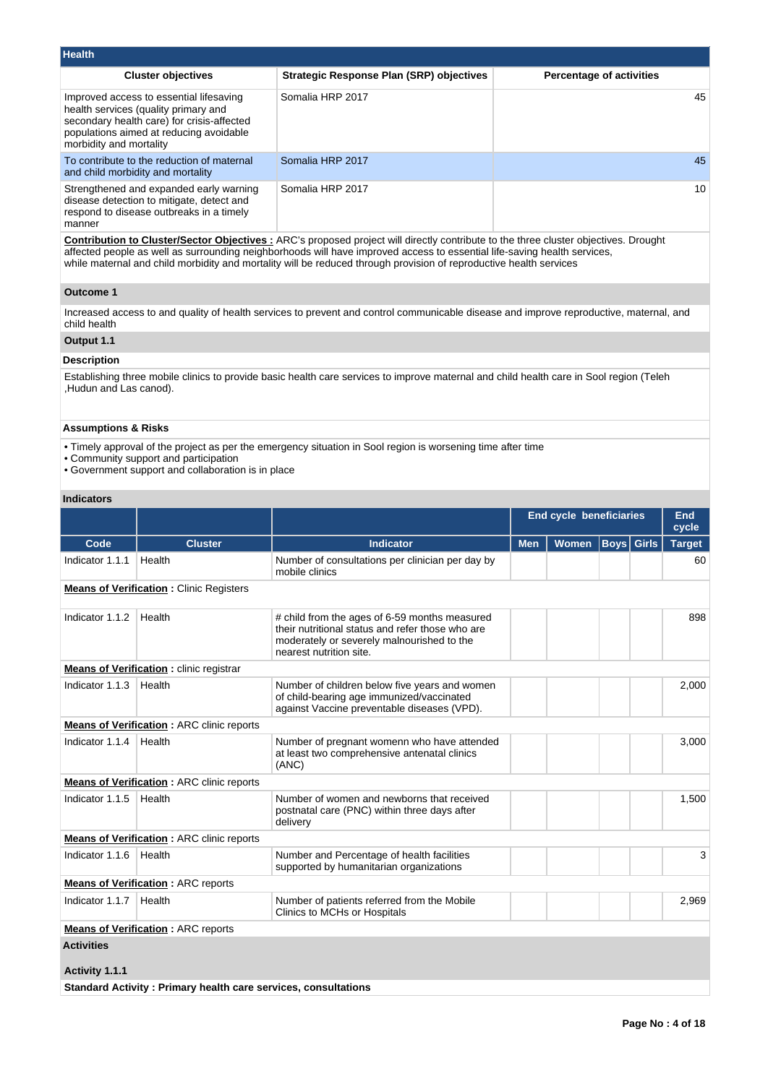| <b>Health</b>                                                                                                                                                                                       |                                                 |                                 |
|-----------------------------------------------------------------------------------------------------------------------------------------------------------------------------------------------------|-------------------------------------------------|---------------------------------|
| <b>Cluster objectives</b>                                                                                                                                                                           | <b>Strategic Response Plan (SRP) objectives</b> | <b>Percentage of activities</b> |
| Improved access to essential lifesaving<br>health services (quality primary and<br>secondary health care) for crisis-affected<br>populations aimed at reducing avoidable<br>morbidity and mortality | Somalia HRP 2017                                | 45                              |
| To contribute to the reduction of maternal<br>and child morbidity and mortality                                                                                                                     | Somalia HRP 2017                                | 45                              |
| Strengthened and expanded early warning<br>disease detection to mitigate, detect and<br>respond to disease outbreaks in a timely<br>manner                                                          | Somalia HRP 2017                                | 10                              |

**Contribution to Cluster/Sector Objectives :** ARC's proposed project will directly contribute to the three cluster objectives. Drought affected people as well as surrounding neighborhoods will have improved access to essential life-saving health services, while maternal and child morbidity and mortality will be reduced through provision of reproductive health services

### **Outcome 1**

Increased access to and quality of health services to prevent and control communicable disease and improve reproductive, maternal, and child health

# **Output 1.1**

# **Description**

Establishing three mobile clinics to provide basic health care services to improve maternal and child health care in Sool region (Teleh ,Hudun and Las canod).

# **Assumptions & Risks**

- Timely approval of the project as per the emergency situation in Sool region is worsening time after time
- Community support and participation
- Government support and collaboration is in place

# **Indicators**

|                   |                                                                       |                                                                                                                                                                            | <b>End cycle beneficiaries</b> | End<br>cycle |                   |  |               |
|-------------------|-----------------------------------------------------------------------|----------------------------------------------------------------------------------------------------------------------------------------------------------------------------|--------------------------------|--------------|-------------------|--|---------------|
| Code              | <b>Cluster</b>                                                        | <b>Indicator</b>                                                                                                                                                           | <b>Men</b>                     | <b>Women</b> | <b>Boys</b> Girls |  | <b>Target</b> |
| Indicator 1.1.1   | Health                                                                | Number of consultations per clinician per day by<br>mobile clinics                                                                                                         |                                |              |                   |  | 60            |
|                   | <b>Means of Verification:</b> Clinic Registers                        |                                                                                                                                                                            |                                |              |                   |  |               |
| Indicator 1.1.2   | Health                                                                | # child from the ages of 6-59 months measured<br>their nutritional status and refer those who are<br>moderately or severely malnourished to the<br>nearest nutrition site. |                                |              |                   |  | 898           |
|                   | <b>Means of Verification:</b> clinic registrar                        |                                                                                                                                                                            |                                |              |                   |  |               |
| Indicator 1.1.3   | Health                                                                | Number of children below five years and women<br>of child-bearing age immunized/vaccinated<br>against Vaccine preventable diseases (VPD).                                  |                                |              |                   |  | 2,000         |
|                   | <b>Means of Verification: ARC clinic reports</b>                      |                                                                                                                                                                            |                                |              |                   |  |               |
| Indicator 1.1.4   | Health                                                                | Number of pregnant womenn who have attended<br>at least two comprehensive antenatal clinics<br>(ANC)                                                                       |                                |              |                   |  | 3,000         |
|                   | <b>Means of Verification: ARC clinic reports</b>                      |                                                                                                                                                                            |                                |              |                   |  |               |
| Indicator 1.1.5   | Health                                                                | Number of women and newborns that received<br>postnatal care (PNC) within three days after<br>delivery                                                                     |                                |              |                   |  | 1,500         |
|                   | <b>Means of Verification: ARC clinic reports</b>                      |                                                                                                                                                                            |                                |              |                   |  |               |
| Indicator 1.1.6   | Health                                                                | Number and Percentage of health facilities<br>supported by humanitarian organizations                                                                                      |                                |              |                   |  | 3             |
|                   | <b>Means of Verification: ARC reports</b>                             |                                                                                                                                                                            |                                |              |                   |  |               |
| Indicator 1.1.7   | Health                                                                | Number of patients referred from the Mobile<br>Clinics to MCHs or Hospitals                                                                                                |                                |              |                   |  | 2,969         |
|                   | <b>Means of Verification: ARC reports</b>                             |                                                                                                                                                                            |                                |              |                   |  |               |
| <b>Activities</b> |                                                                       |                                                                                                                                                                            |                                |              |                   |  |               |
| Activity 1.1.1    |                                                                       |                                                                                                                                                                            |                                |              |                   |  |               |
|                   | <b>Standard Activity: Primary health care services, consultations</b> |                                                                                                                                                                            |                                |              |                   |  |               |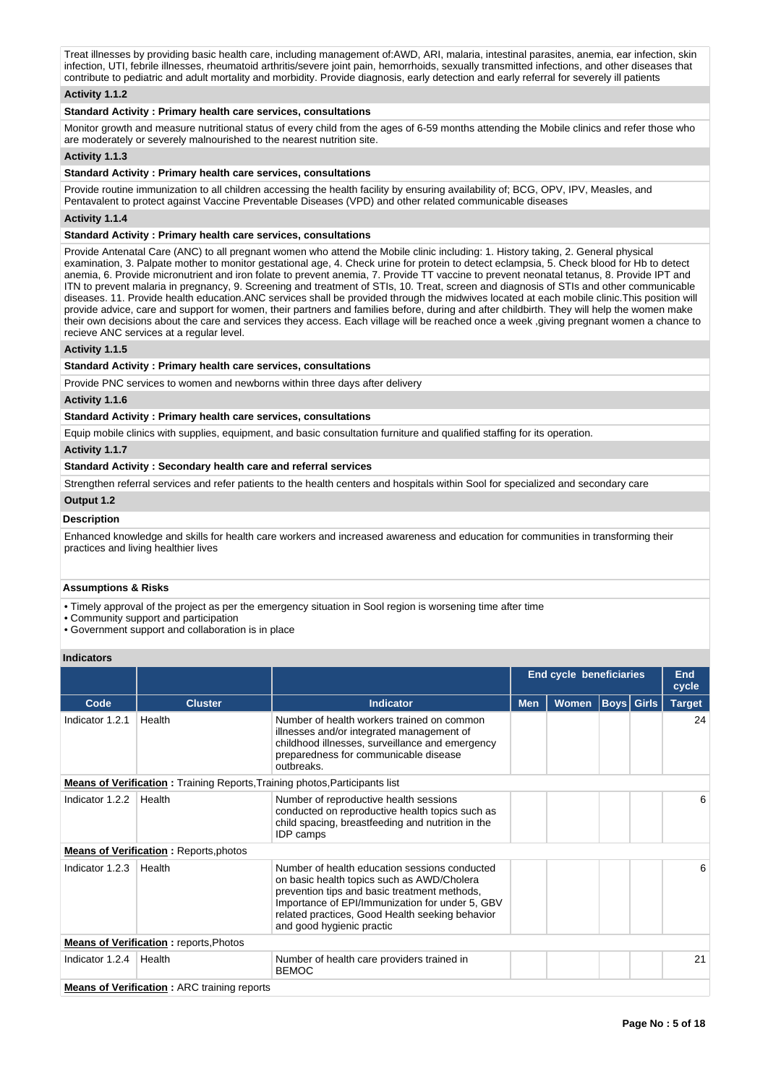Treat illnesses by providing basic health care, including management of:AWD, ARI, malaria, intestinal parasites, anemia, ear infection, skin infection, UTI, febrile illnesses, rheumatoid arthritis/severe joint pain, hemorrhoids, sexually transmitted infections, and other diseases that contribute to pediatric and adult mortality and morbidity. Provide diagnosis, early detection and early referral for severely ill patients

# **Activity 1.1.2**

## **Standard Activity : Primary health care services, consultations**

Monitor growth and measure nutritional status of every child from the ages of 6-59 months attending the Mobile clinics and refer those who are moderately or severely malnourished to the nearest nutrition site.

### **Activity 1.1.3**

### **Standard Activity : Primary health care services, consultations**

Provide routine immunization to all children accessing the health facility by ensuring availability of; BCG, OPV, IPV, Measles, and Pentavalent to protect against Vaccine Preventable Diseases (VPD) and other related communicable diseases

# **Activity 1.1.4**

# **Standard Activity : Primary health care services, consultations**

Provide Antenatal Care (ANC) to all pregnant women who attend the Mobile clinic including: 1. History taking, 2. General physical examination, 3. Palpate mother to monitor gestational age, 4. Check urine for protein to detect eclampsia, 5. Check blood for Hb to detect anemia, 6. Provide micronutrient and iron folate to prevent anemia, 7. Provide TT vaccine to prevent neonatal tetanus, 8. Provide IPT and ITN to prevent malaria in pregnancy, 9. Screening and treatment of STIs, 10. Treat, screen and diagnosis of STIs and other communicable diseases. 11. Provide health education.ANC services shall be provided through the midwives located at each mobile clinic.This position will provide advice, care and support for women, their partners and families before, during and after childbirth. They will help the women make their own decisions about the care and services they access. Each village will be reached once a week ,giving pregnant women a chance to recieve ANC services at a regular level.

### **Activity 1.1.5**

#### **Standard Activity : Primary health care services, consultations**

Provide PNC services to women and newborns within three days after delivery

## **Activity 1.1.6**

## **Standard Activity : Primary health care services, consultations**

Equip mobile clinics with supplies, equipment, and basic consultation furniture and qualified staffing for its operation.

**Activity 1.1.7** 

#### **Standard Activity : Secondary health care and referral services**

Strengthen referral services and refer patients to the health centers and hospitals within Sool for specialized and secondary care

# **Output 1.2**

#### **Description**

Enhanced knowledge and skills for health care workers and increased awareness and education for communities in transforming their practices and living healthier lives

#### **Assumptions & Risks**

• Timely approval of the project as per the emergency situation in Sool region is worsening time after time

• Community support and participation

• Government support and collaboration is in place

# **Indicators**

|                 |                                                                                     |                                                                                                                                                                                                                                                                                | End cycle beneficiaries | <b>End</b><br>cycle |  |    |
|-----------------|-------------------------------------------------------------------------------------|--------------------------------------------------------------------------------------------------------------------------------------------------------------------------------------------------------------------------------------------------------------------------------|-------------------------|---------------------|--|----|
| Code            | <b>Cluster</b>                                                                      | Indicator                                                                                                                                                                                                                                                                      | <b>Men</b>              | <b>Target</b>       |  |    |
| Indicator 1.2.1 | Health                                                                              | Number of health workers trained on common<br>illnesses and/or integrated management of<br>childhood illnesses, surveillance and emergency<br>preparedness for communicable disease<br>outbreaks.                                                                              |                         |                     |  | 24 |
|                 | <b>Means of Verification</b> : Training Reports, Training photos, Participants list |                                                                                                                                                                                                                                                                                |                         |                     |  |    |
| Indicator 1.2.2 | Health                                                                              | Number of reproductive health sessions<br>conducted on reproductive health topics such as<br>child spacing, breastfeeding and nutrition in the<br><b>IDP</b> camps                                                                                                             |                         |                     |  | 6  |
|                 | <b>Means of Verification: Reports, photos</b>                                       |                                                                                                                                                                                                                                                                                |                         |                     |  |    |
| Indicator 1.2.3 | Health                                                                              | Number of health education sessions conducted<br>on basic health topics such as AWD/Cholera<br>prevention tips and basic treatment methods,<br>Importance of EPI/Immunization for under 5, GBV<br>related practices, Good Health seeking behavior<br>and good hygienic practic |                         |                     |  | 6  |
|                 | <b>Means of Verification:</b> reports, Photos                                       |                                                                                                                                                                                                                                                                                |                         |                     |  |    |
| Indicator 1.2.4 | Health                                                                              | Number of health care providers trained in<br><b>BEMOC</b>                                                                                                                                                                                                                     |                         |                     |  | 21 |
|                 | <b>Means of Verification: ARC training reports</b>                                  |                                                                                                                                                                                                                                                                                |                         |                     |  |    |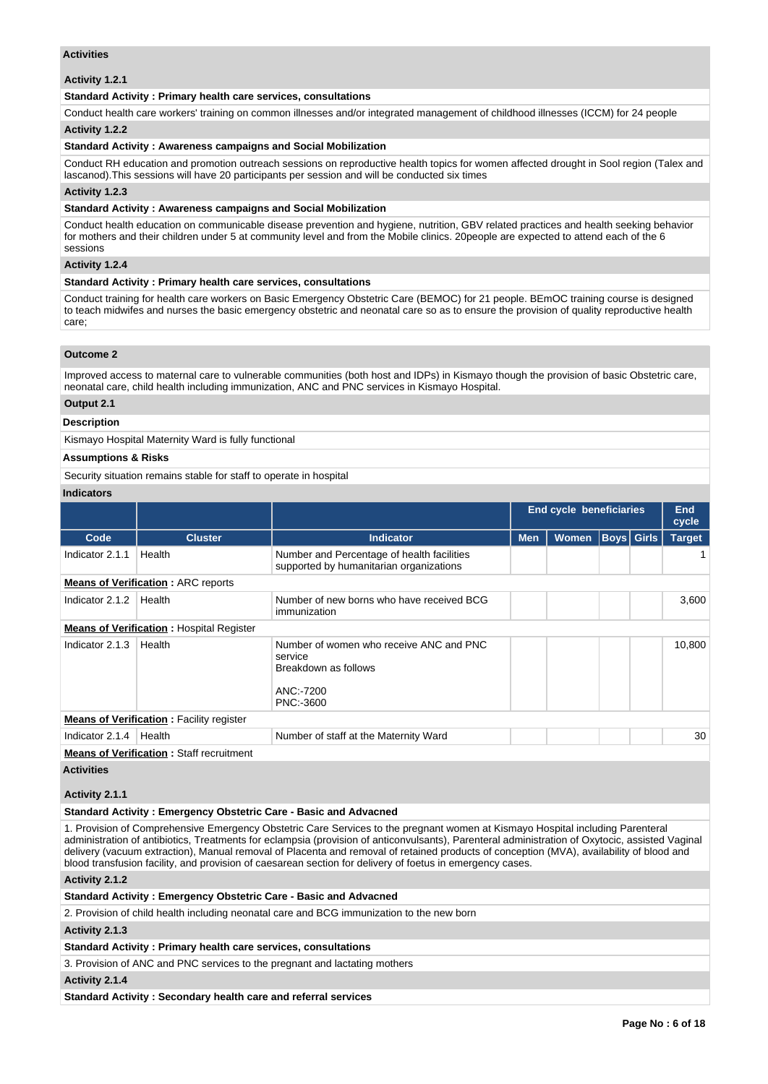### **Activities**

**Activity 1.2.1** 

## **Standard Activity : Primary health care services, consultations**

Conduct health care workers' training on common illnesses and/or integrated management of childhood illnesses (ICCM) for 24 people

# **Activity 1.2.2**

#### **Standard Activity : Awareness campaigns and Social Mobilization**

Conduct RH education and promotion outreach sessions on reproductive health topics for women affected drought in Sool region (Talex and lascanod).This sessions will have 20 participants per session and will be conducted six times

# **Activity 1.2.3**

### **Standard Activity : Awareness campaigns and Social Mobilization**

Conduct health education on communicable disease prevention and hygiene, nutrition, GBV related practices and health seeking behavior for mothers and their children under 5 at community level and from the Mobile clinics. 20people are expected to attend each of the 6 sessions

### **Activity 1.2.4**

#### **Standard Activity : Primary health care services, consultations**

Conduct training for health care workers on Basic Emergency Obstetric Care (BEMOC) for 21 people. BEmOC training course is designed to teach midwifes and nurses the basic emergency obstetric and neonatal care so as to ensure the provision of quality reproductive health care;

# **Outcome 2**

Improved access to maternal care to vulnerable communities (both host and IDPs) in Kismayo though the provision of basic Obstetric care, neonatal care, child health including immunization, ANC and PNC services in Kismayo Hospital.

#### **Output 2.1**

# **Description**

Kismayo Hospital Maternity Ward is fully functional

### **Assumptions & Risks**

Security situation remains stable for staff to operate in hospital

## **Indicators**

|                 |                                                 |                                                                                                      |            | <b>End cycle beneficiaries</b> |  |  |        |  |  |
|-----------------|-------------------------------------------------|------------------------------------------------------------------------------------------------------|------------|--------------------------------|--|--|--------|--|--|
| Code            | <b>Cluster</b>                                  | <b>Indicator</b>                                                                                     | <b>Men</b> | <b>Boys</b> Girls<br>Women     |  |  |        |  |  |
| Indicator 2.1.1 | Health                                          | Number and Percentage of health facilities<br>supported by humanitarian organizations                |            |                                |  |  |        |  |  |
|                 | <b>Means of Verification: ARC reports</b>       |                                                                                                      |            |                                |  |  |        |  |  |
| Indicator 2.1.2 | Health                                          | Number of new borns who have received BCG<br>immunization                                            |            |                                |  |  | 3,600  |  |  |
|                 | <b>Means of Verification: Hospital Register</b> |                                                                                                      |            |                                |  |  |        |  |  |
| Indicator 2.1.3 | Health                                          | Number of women who receive ANC and PNC<br>service<br>Breakdown as follows<br>ANC:-7200<br>PNC:-3600 |            |                                |  |  | 10,800 |  |  |
|                 | <b>Means of Verification:</b> Facility register |                                                                                                      |            |                                |  |  |        |  |  |
| Indicator 2.1.4 | Health                                          | Number of staff at the Maternity Ward                                                                |            |                                |  |  | 30     |  |  |
|                 | <b>Means of Verification: Staff recruitment</b> |                                                                                                      |            |                                |  |  |        |  |  |

### **Activities**

### **Activity 2.1.1**

## **Standard Activity : Emergency Obstetric Care - Basic and Advacned**

1. Provision of Comprehensive Emergency Obstetric Care Services to the pregnant women at Kismayo Hospital including Parenteral administration of antibiotics, Treatments for eclampsia (provision of anticonvulsants), Parenteral administration of Oxytocic, assisted Vaginal delivery (vacuum extraction), Manual removal of Placenta and removal of retained products of conception (MVA), availability of blood and blood transfusion facility, and provision of caesarean section for delivery of foetus in emergency cases.

## **Activity 2.1.2**

# **Standard Activity : Emergency Obstetric Care - Basic and Advacned**

2. Provision of child health including neonatal care and BCG immunization to the new born

## **Activity 2.1.3**

**Standard Activity : Primary health care services, consultations**

3. Provision of ANC and PNC services to the pregnant and lactating mothers

# **Activity 2.1.4**

**Standard Activity : Secondary health care and referral services**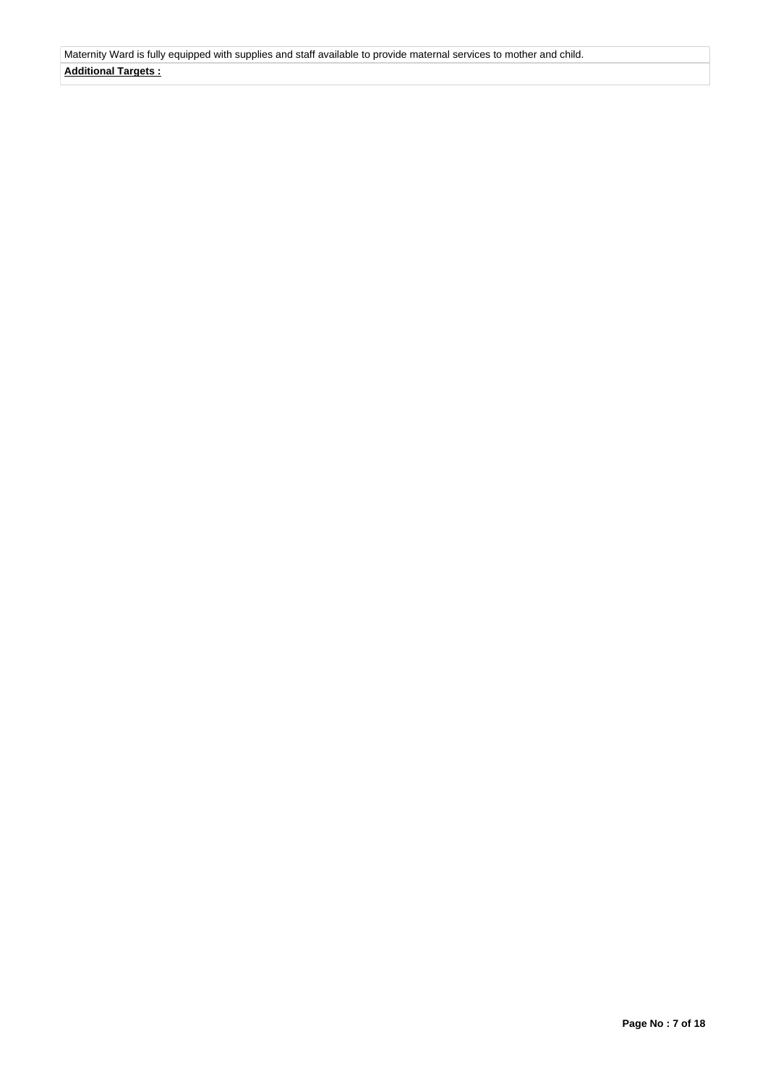Maternity Ward is fully equipped with supplies and staff available to provide maternal services to mother and child. **Additional Targets :**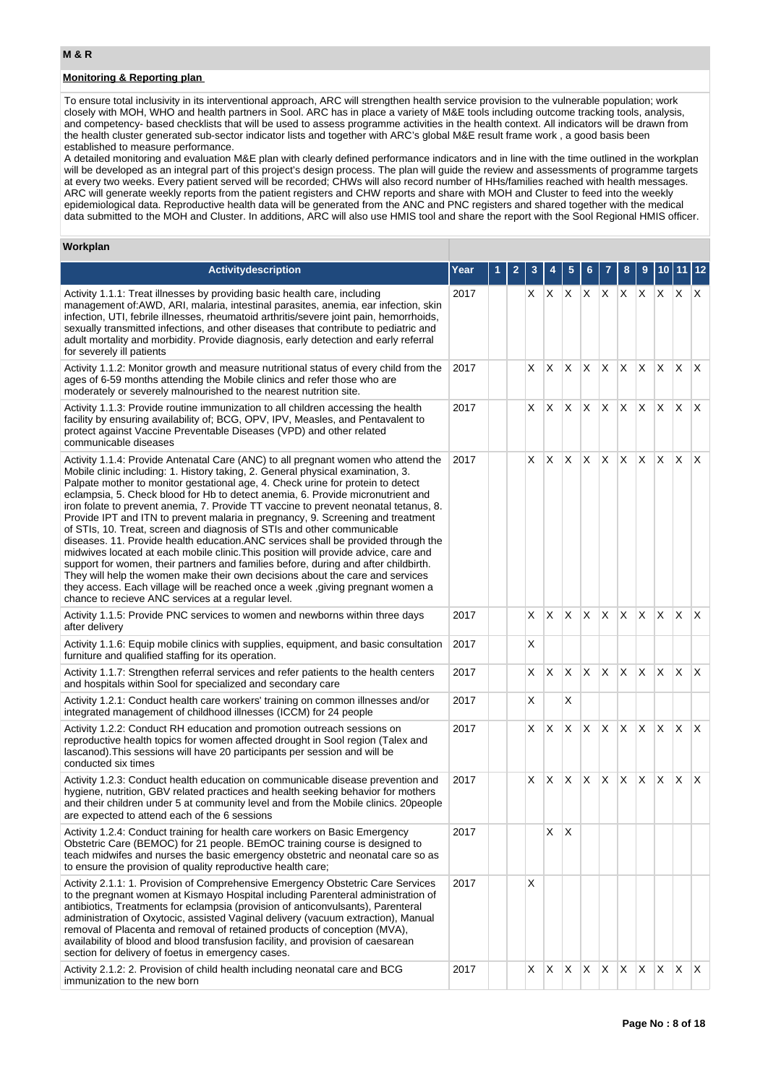# **Monitoring & Reporting plan**

To ensure total inclusivity in its interventional approach, ARC will strengthen health service provision to the vulnerable population; work closely with MOH, WHO and health partners in Sool. ARC has in place a variety of M&E tools including outcome tracking tools, analysis, and competency- based checklists that will be used to assess programme activities in the health context. All indicators will be drawn from the health cluster generated sub-sector indicator lists and together with ARC's global M&E result frame work , a good basis been established to measure performance.

A detailed monitoring and evaluation M&E plan with clearly defined performance indicators and in line with the time outlined in the workplan will be developed as an integral part of this project's design process. The plan will guide the review and assessments of programme targets at every two weeks. Every patient served will be recorded; CHWs will also record number of HHs/families reached with health messages. ARC will generate weekly reports from the patient registers and CHW reports and share with MOH and Cluster to feed into the weekly epidemiological data. Reproductive health data will be generated from the ANC and PNC registers and shared together with the medical data submitted to the MOH and Cluster. In additions, ARC will also use HMIS tool and share the report with the Sool Regional HMIS officer.

# **Workplan**

| <b>Activitydescription</b>                                                                                                                                                                                                                                                                                                                                                                                                                                                                                                                                                                                                                                                                                                                                                                                                                                                                                                                                                                                                                                                                   | Year |  |    |              |    |    |         | 8            |    |              |              |                         |
|----------------------------------------------------------------------------------------------------------------------------------------------------------------------------------------------------------------------------------------------------------------------------------------------------------------------------------------------------------------------------------------------------------------------------------------------------------------------------------------------------------------------------------------------------------------------------------------------------------------------------------------------------------------------------------------------------------------------------------------------------------------------------------------------------------------------------------------------------------------------------------------------------------------------------------------------------------------------------------------------------------------------------------------------------------------------------------------------|------|--|----|--------------|----|----|---------|--------------|----|--------------|--------------|-------------------------|
| Activity 1.1.1: Treat illnesses by providing basic health care, including<br>management of: AWD, ARI, malaria, intestinal parasites, anemia, ear infection, skin<br>infection, UTI, febrile illnesses, rheumatoid arthritis/severe joint pain, hemorrhoids,<br>sexually transmitted infections, and other diseases that contribute to pediatric and<br>adult mortality and morbidity. Provide diagnosis, early detection and early referral<br>for severely ill patients                                                                                                                                                                                                                                                                                                                                                                                                                                                                                                                                                                                                                     | 2017 |  | X. | IX.          | X. |    | X X X X |              |    | X.           | X            | X                       |
| Activity 1.1.2: Monitor growth and measure nutritional status of every child from the<br>ages of 6-59 months attending the Mobile clinics and refer those who are<br>moderately or severely malnourished to the nearest nutrition site.                                                                                                                                                                                                                                                                                                                                                                                                                                                                                                                                                                                                                                                                                                                                                                                                                                                      | 2017 |  | X. | ΙX.          | X  | X  | IX.     | $X$ $X$      |    | $\mathsf{X}$ | $\mathsf{X}$ | $\mathsf{X}$            |
| Activity 1.1.3: Provide routine immunization to all children accessing the health<br>facility by ensuring availability of; BCG, OPV, IPV, Measles, and Pentavalent to<br>protect against Vaccine Preventable Diseases (VPD) and other related<br>communicable diseases                                                                                                                                                                                                                                                                                                                                                                                                                                                                                                                                                                                                                                                                                                                                                                                                                       | 2017 |  | X. | ΙX.          | X  | X  | X.      | X.           | X. | ΙX.          | ΙX.          | $\mathsf{I} \mathsf{X}$ |
| Activity 1.1.4: Provide Antenatal Care (ANC) to all pregnant women who attend the<br>Mobile clinic including: 1. History taking, 2. General physical examination, 3.<br>Palpate mother to monitor gestational age, 4. Check urine for protein to detect<br>eclampsia, 5. Check blood for Hb to detect anemia, 6. Provide micronutrient and<br>iron folate to prevent anemia, 7. Provide TT vaccine to prevent neonatal tetanus, 8.<br>Provide IPT and ITN to prevent malaria in pregnancy, 9. Screening and treatment<br>of STIs, 10. Treat, screen and diagnosis of STIs and other communicable<br>diseases. 11. Provide health education.ANC services shall be provided through the<br>midwives located at each mobile clinic. This position will provide advice, care and<br>support for women, their partners and families before, during and after childbirth.<br>They will help the women make their own decisions about the care and services<br>they access. Each village will be reached once a week, giving pregnant women a<br>chance to recieve ANC services at a regular level. | 2017 |  | X  | ΙX.          | X  | Χ  | X.      | IX.          | X. | IX.          | $\mathsf{X}$ | $\mathsf{X}$            |
| Activity 1.1.5: Provide PNC services to women and newborns within three days<br>after delivery                                                                                                                                                                                                                                                                                                                                                                                                                                                                                                                                                                                                                                                                                                                                                                                                                                                                                                                                                                                               | 2017 |  | X  | $\mathsf{X}$ | X  | X. | X.      | $X$ $X$      |    | X.           | $\mathsf{X}$ | $\mathsf{I} \mathsf{X}$ |
| Activity 1.1.6: Equip mobile clinics with supplies, equipment, and basic consultation<br>furniture and qualified staffing for its operation.                                                                                                                                                                                                                                                                                                                                                                                                                                                                                                                                                                                                                                                                                                                                                                                                                                                                                                                                                 | 2017 |  | Х  |              |    |    |         |              |    |              |              |                         |
| Activity 1.1.7: Strengthen referral services and refer patients to the health centers<br>and hospitals within Sool for specialized and secondary care                                                                                                                                                                                                                                                                                                                                                                                                                                                                                                                                                                                                                                                                                                                                                                                                                                                                                                                                        | 2017 |  | X. | X            | Χ  | Χ  | X       | X            | X  | X            | X.           | $\mathsf{X}$            |
| Activity 1.2.1: Conduct health care workers' training on common illnesses and/or<br>integrated management of childhood illnesses (ICCM) for 24 people                                                                                                                                                                                                                                                                                                                                                                                                                                                                                                                                                                                                                                                                                                                                                                                                                                                                                                                                        | 2017 |  | Χ  |              | X  |    |         |              |    |              |              |                         |
| Activity 1.2.2: Conduct RH education and promotion outreach sessions on<br>reproductive health topics for women affected drought in Sool region (Talex and<br>lascanod). This sessions will have 20 participants per session and will be<br>conducted six times                                                                                                                                                                                                                                                                                                                                                                                                                                                                                                                                                                                                                                                                                                                                                                                                                              | 2017 |  | X  | IX.          | X  | X  | X.      | X.           | X. | X.           | $\mathsf{X}$ | $\mathsf{X}$            |
| Activity 1.2.3: Conduct health education on communicable disease prevention and<br>hygiene, nutrition, GBV related practices and health seeking behavior for mothers<br>and their children under 5 at community level and from the Mobile clinics. 20 people<br>are expected to attend each of the 6 sessions                                                                                                                                                                                                                                                                                                                                                                                                                                                                                                                                                                                                                                                                                                                                                                                | 2017 |  | X. | IX.          | Х  | X  | X.      | X.           | X  | X            | ΙX.          | $\mathsf{X}$            |
| Activity 1.2.4: Conduct training for health care workers on Basic Emergency<br>Obstetric Care (BEMOC) for 21 people. BEmOC training course is designed to<br>teach midwifes and nurses the basic emergency obstetric and neonatal care so as<br>to ensure the provision of quality reproductive health care;                                                                                                                                                                                                                                                                                                                                                                                                                                                                                                                                                                                                                                                                                                                                                                                 | 2017 |  |    | X            | X  |    |         |              |    |              |              |                         |
| Activity 2.1.1: 1. Provision of Comprehensive Emergency Obstetric Care Services<br>to the pregnant women at Kismayo Hospital including Parenteral administration of<br>antibiotics, Treatments for eclampsia (provision of anticonvulsants), Parenteral<br>administration of Oxytocic, assisted Vaginal delivery (vacuum extraction), Manual<br>removal of Placenta and removal of retained products of conception (MVA),<br>availability of blood and blood transfusion facility, and provision of caesarean<br>section for delivery of foetus in emergency cases.                                                                                                                                                                                                                                                                                                                                                                                                                                                                                                                          | 2017 |  | X  |              |    |    |         |              |    |              |              |                         |
| Activity 2.1.2: 2. Provision of child health including neonatal care and BCG<br>immunization to the new born                                                                                                                                                                                                                                                                                                                                                                                                                                                                                                                                                                                                                                                                                                                                                                                                                                                                                                                                                                                 | 2017 |  | X  | $\mathsf{X}$ | X  | X  | X       | $\mathsf{X}$ | X  | X            | $\mathsf{X}$ | X                       |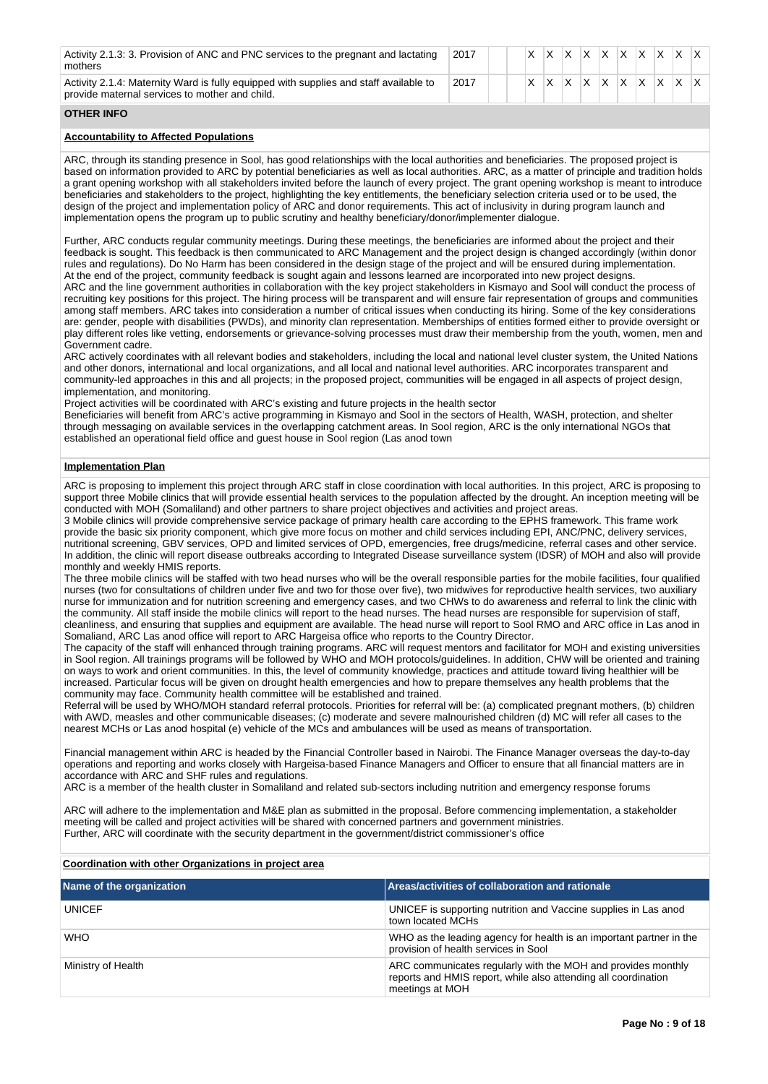| Activity 2.1.3: 3. Provision of ANC and PNC services to the pregnant and lactating<br>mothers                                           | 2017 | <b>X</b> | IX.          |  | $\vert$ x $\vert$ x $\vert$ x $\vert$ x $\vert$ x $\vert$ x $\vert$ x $\vert$ x $\vert$ x $\vert$ |  |     |  |
|-----------------------------------------------------------------------------------------------------------------------------------------|------|----------|--------------|--|---------------------------------------------------------------------------------------------------|--|-----|--|
| Activity 2.1.4: Maternity Ward is fully equipped with supplies and staff available to<br>provide maternal services to mother and child. | 2017 | X.       | $\mathsf{X}$ |  | $ X $ $ X $ $ X $ $ X $                                                                           |  | ΙX. |  |

# **OTHER INFO**

## **Accountability to Affected Populations**

ARC, through its standing presence in Sool, has good relationships with the local authorities and beneficiaries. The proposed project is based on information provided to ARC by potential beneficiaries as well as local authorities. ARC, as a matter of principle and tradition holds a grant opening workshop with all stakeholders invited before the launch of every project. The grant opening workshop is meant to introduce beneficiaries and stakeholders to the project, highlighting the key entitlements, the beneficiary selection criteria used or to be used, the design of the project and implementation policy of ARC and donor requirements. This act of inclusivity in during program launch and implementation opens the program up to public scrutiny and healthy beneficiary/donor/implementer dialogue.

Further, ARC conducts regular community meetings. During these meetings, the beneficiaries are informed about the project and their feedback is sought. This feedback is then communicated to ARC Management and the project design is changed accordingly (within donor rules and regulations). Do No Harm has been considered in the design stage of the project and will be ensured during implementation. At the end of the project, community feedback is sought again and lessons learned are incorporated into new project designs. ARC and the line government authorities in collaboration with the key project stakeholders in Kismayo and Sool will conduct the process of recruiting key positions for this project. The hiring process will be transparent and will ensure fair representation of groups and communities among staff members. ARC takes into consideration a number of critical issues when conducting its hiring. Some of the key considerations are: gender, people with disabilities (PWDs), and minority clan representation. Memberships of entities formed either to provide oversight or play different roles like vetting, endorsements or grievance-solving processes must draw their membership from the youth, women, men and Government cadre.

ARC actively coordinates with all relevant bodies and stakeholders, including the local and national level cluster system, the United Nations and other donors, international and local organizations, and all local and national level authorities. ARC incorporates transparent and community-led approaches in this and all projects; in the proposed project, communities will be engaged in all aspects of project design, implementation, and monitoring.

Project activities will be coordinated with ARC's existing and future projects in the health sector

Beneficiaries will benefit from ARC's active programming in Kismayo and Sool in the sectors of Health, WASH, protection, and shelter through messaging on available services in the overlapping catchment areas. In Sool region, ARC is the only international NGOs that established an operational field office and guest house in Sool region (Las anod town

### **Implementation Plan**

ARC is proposing to implement this project through ARC staff in close coordination with local authorities. In this project, ARC is proposing to support three Mobile clinics that will provide essential health services to the population affected by the drought. An inception meeting will be conducted with MOH (Somaliland) and other partners to share project objectives and activities and project areas.

3 Mobile clinics will provide comprehensive service package of primary health care according to the EPHS framework. This frame work provide the basic six priority component, which give more focus on mother and child services including EPI, ANC/PNC, delivery services, nutritional screening, GBV services, OPD and limited services of OPD, emergencies, free drugs/medicine, referral cases and other service. In addition, the clinic will report disease outbreaks according to Integrated Disease surveillance system (IDSR) of MOH and also will provide monthly and weekly HMIS reports.

The three mobile clinics will be staffed with two head nurses who will be the overall responsible parties for the mobile facilities, four qualified nurses (two for consultations of children under five and two for those over five), two midwives for reproductive health services, two auxiliary nurse for immunization and for nutrition screening and emergency cases, and two CHWs to do awareness and referral to link the clinic with the community. All staff inside the mobile clinics will report to the head nurses. The head nurses are responsible for supervision of staff, cleanliness, and ensuring that supplies and equipment are available. The head nurse will report to Sool RMO and ARC office in Las anod in Somaliand, ARC Las anod office will report to ARC Hargeisa office who reports to the Country Director.

The capacity of the staff will enhanced through training programs. ARC will request mentors and facilitator for MOH and existing universities in Sool region. All trainings programs will be followed by WHO and MOH protocols/guidelines. In addition, CHW will be oriented and training on ways to work and orient communities. In this, the level of community knowledge, practices and attitude toward living healthier will be increased. Particular focus will be given on drought health emergencies and how to prepare themselves any health problems that the community may face. Community health committee will be established and trained.

Referral will be used by WHO/MOH standard referral protocols. Priorities for referral will be: (a) complicated pregnant mothers, (b) children with AWD, measles and other communicable diseases; (c) moderate and severe malnourished children (d) MC will refer all cases to the nearest MCHs or Las anod hospital (e) vehicle of the MCs and ambulances will be used as means of transportation.

Financial management within ARC is headed by the Financial Controller based in Nairobi. The Finance Manager overseas the day-to-day operations and reporting and works closely with Hargeisa-based Finance Managers and Officer to ensure that all financial matters are in accordance with ARC and SHF rules and regulations.

ARC is a member of the health cluster in Somaliland and related sub-sectors including nutrition and emergency response forums

ARC will adhere to the implementation and M&E plan as submitted in the proposal. Before commencing implementation, a stakeholder meeting will be called and project activities will be shared with concerned partners and government ministries. Further, ARC will coordinate with the security department in the government/district commissioner's office

# **Coordination with other Organizations in project area**

| Name of the organization | Areas/activities of collaboration and rationale                                                                                                   |
|--------------------------|---------------------------------------------------------------------------------------------------------------------------------------------------|
| <b>UNICEF</b>            | UNICEF is supporting nutrition and Vaccine supplies in Las anod<br>town located MCHs                                                              |
| <b>WHO</b>               | WHO as the leading agency for health is an important partner in the<br>provision of health services in Sool                                       |
| Ministry of Health       | ARC communicates regularly with the MOH and provides monthly<br>reports and HMIS report, while also attending all coordination<br>meetings at MOH |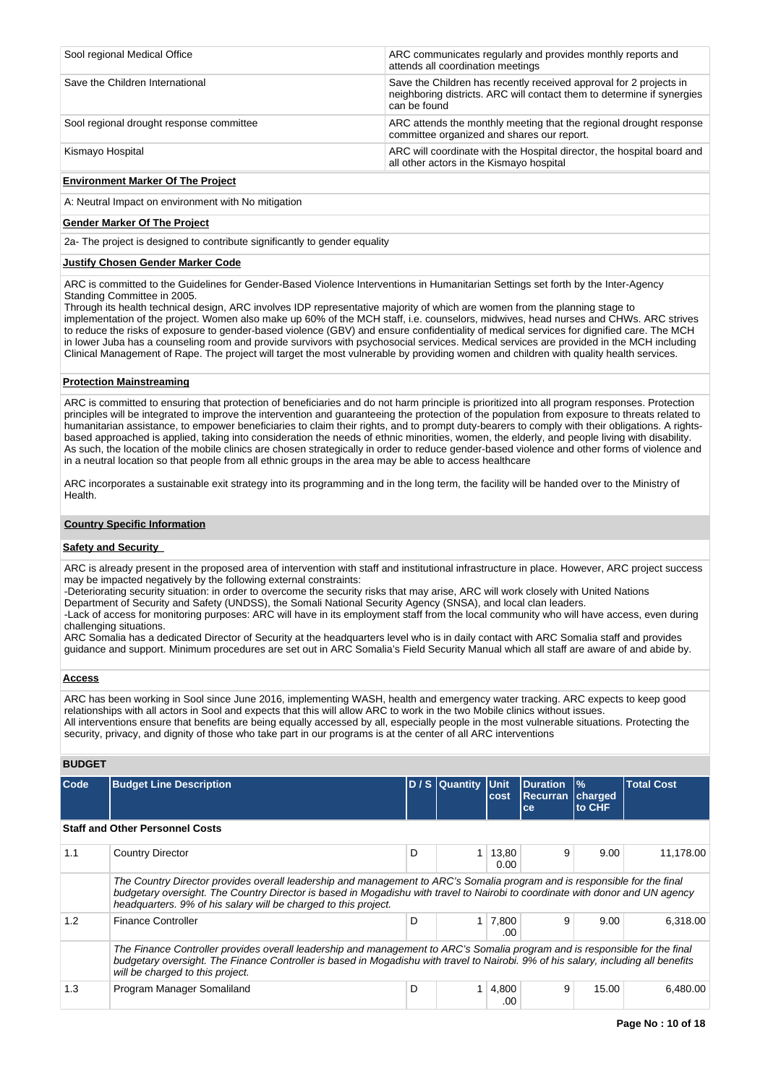| Sool regional Medical Office             | ARC communicates regularly and provides monthly reports and<br>attends all coordination meetings                                                             |
|------------------------------------------|--------------------------------------------------------------------------------------------------------------------------------------------------------------|
| Save the Children International          | Save the Children has recently received approval for 2 projects in<br>neighboring districts. ARC will contact them to determine if synergies<br>can be found |
| Sool regional drought response committee | ARC attends the monthly meeting that the regional drought response<br>committee organized and shares our report.                                             |
| Kismayo Hospital                         | ARC will coordinate with the Hospital director, the hospital board and<br>all other actors in the Kismayo hospital                                           |

### **Environment Marker Of The Project**

A: Neutral Impact on environment with No mitigation

### **Gender Marker Of The Project**

2a- The project is designed to contribute significantly to gender equality

# **Justify Chosen Gender Marker Code**

ARC is committed to the Guidelines for Gender-Based Violence Interventions in Humanitarian Settings set forth by the Inter-Agency Standing Committee in 2005.

Through its health technical design, ARC involves IDP representative majority of which are women from the planning stage to implementation of the project. Women also make up 60% of the MCH staff, i.e. counselors, midwives, head nurses and CHWs. ARC strives to reduce the risks of exposure to gender-based violence (GBV) and ensure confidentiality of medical services for dignified care. The MCH in lower Juba has a counseling room and provide survivors with psychosocial services. Medical services are provided in the MCH including Clinical Management of Rape. The project will target the most vulnerable by providing women and children with quality health services.

### **Protection Mainstreaming**

ARC is committed to ensuring that protection of beneficiaries and do not harm principle is prioritized into all program responses. Protection principles will be integrated to improve the intervention and guaranteeing the protection of the population from exposure to threats related to humanitarian assistance, to empower beneficiaries to claim their rights, and to prompt duty-bearers to comply with their obligations. A rightsbased approached is applied, taking into consideration the needs of ethnic minorities, women, the elderly, and people living with disability. As such, the location of the mobile clinics are chosen strategically in order to reduce gender-based violence and other forms of violence and in a neutral location so that people from all ethnic groups in the area may be able to access healthcare

ARC incorporates a sustainable exit strategy into its programming and in the long term, the facility will be handed over to the Ministry of Health.

### **Country Specific Information**

### **Safety and Security**

ARC is already present in the proposed area of intervention with staff and institutional infrastructure in place. However, ARC project success may be impacted negatively by the following external constraints:

-Deteriorating security situation: in order to overcome the security risks that may arise, ARC will work closely with United Nations

Department of Security and Safety (UNDSS), the Somali National Security Agency (SNSA), and local clan leaders.

-Lack of access for monitoring purposes: ARC will have in its employment staff from the local community who will have access, even during challenging situations.

ARC Somalia has a dedicated Director of Security at the headquarters level who is in daily contact with ARC Somalia staff and provides guidance and support. Minimum procedures are set out in ARC Somalia's Field Security Manual which all staff are aware of and abide by.

### **Access**

ARC has been working in Sool since June 2016, implementing WASH, health and emergency water tracking. ARC expects to keep good relationships with all actors in Sool and expects that this will allow ARC to work in the two Mobile clinics without issues. All interventions ensure that benefits are being equally accessed by all, especially people in the most vulnerable situations. Protecting the security, privacy, and dignity of those who take part in our programs is at the center of all ARC interventions

# **BUDGET**

| Code | <b>Budget Line Description</b>                                                                                                                                                                                                                                                                                                |   | D / S Quantity Unit | cost          | <b>Duration</b><br><b>Recurran</b><br>ce | $\frac{9}{6}$<br>charged<br>to CHF | <b>Total Cost</b> |  |  |  |
|------|-------------------------------------------------------------------------------------------------------------------------------------------------------------------------------------------------------------------------------------------------------------------------------------------------------------------------------|---|---------------------|---------------|------------------------------------------|------------------------------------|-------------------|--|--|--|
|      | <b>Staff and Other Personnel Costs</b>                                                                                                                                                                                                                                                                                        |   |                     |               |                                          |                                    |                   |  |  |  |
| 1.1  | <b>Country Director</b>                                                                                                                                                                                                                                                                                                       | D |                     | 13,80<br>0.00 | 9                                        | 9.00                               | 11,178.00         |  |  |  |
|      | The Country Director provides overall leadership and management to ARC's Somalia program and is responsible for the final<br>budgetary oversight. The Country Director is based in Mogadishu with travel to Nairobi to coordinate with donor and UN agency<br>headquarters. 9% of his salary will be charged to this project. |   |                     |               |                                          |                                    |                   |  |  |  |
| 1.2  | <b>Finance Controller</b>                                                                                                                                                                                                                                                                                                     | D |                     | 7,800<br>.00  | 9                                        | 9.00                               | 6.318.00          |  |  |  |
|      | The Finance Controller provides overall leadership and management to ARC's Somalia program and is responsible for the final<br>budgetary oversight. The Finance Controller is based in Mogadishu with travel to Nairobi. 9% of his salary, including all benefits<br>will be charged to this project.                         |   |                     |               |                                          |                                    |                   |  |  |  |
| 1.3  | Program Manager Somaliland                                                                                                                                                                                                                                                                                                    | D |                     | 4,800<br>.00  | 9                                        | 15.00                              | 6.480.00          |  |  |  |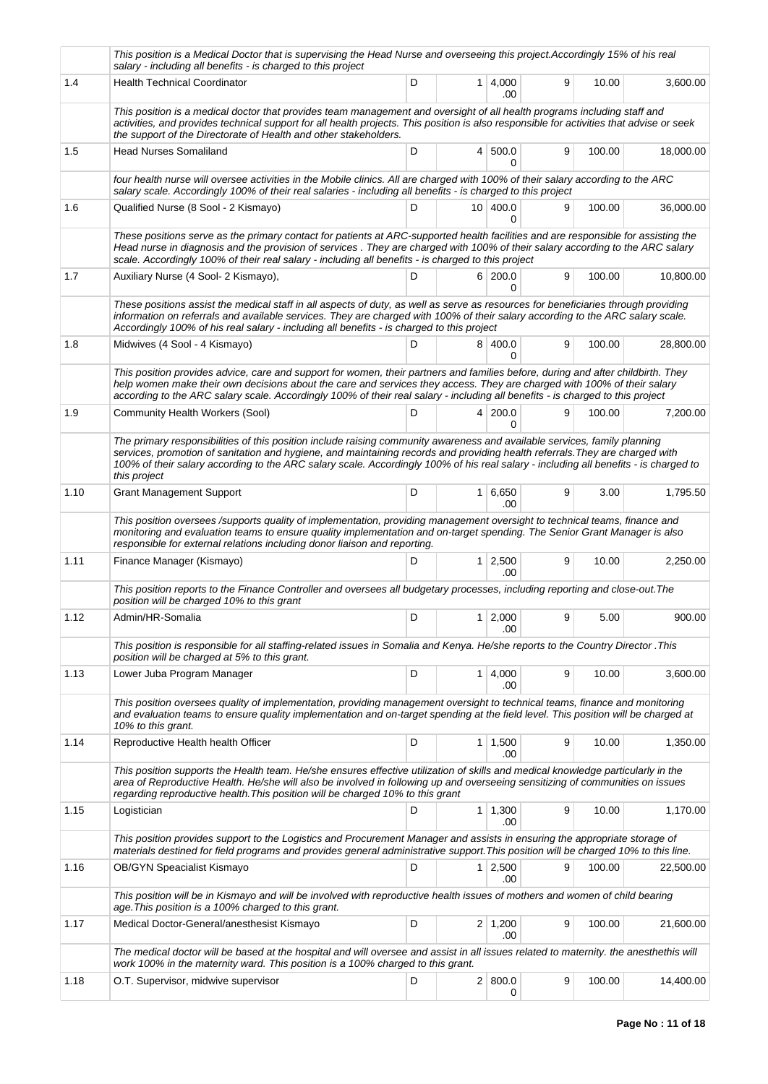|      | This position is a Medical Doctor that is supervising the Head Nurse and overseeing this project.Accordingly 15% of his real<br>salary - including all benefits - is charged to this project                                                                                                                                                                                                                      |   |                |                       |   |        |           |
|------|-------------------------------------------------------------------------------------------------------------------------------------------------------------------------------------------------------------------------------------------------------------------------------------------------------------------------------------------------------------------------------------------------------------------|---|----------------|-----------------------|---|--------|-----------|
| 1.4  | <b>Health Technical Coordinator</b>                                                                                                                                                                                                                                                                                                                                                                               | D |                | $1 \mid 4,000$<br>.00 | 9 | 10.00  | 3,600.00  |
|      | This position is a medical doctor that provides team management and oversight of all health programs including staff and<br>activities, and provides technical support for all health projects. This position is also responsible for activities that advise or seek<br>the support of the Directorate of Health and other stakeholders.                                                                          |   |                |                       |   |        |           |
| 1.5  | <b>Head Nurses Somaliland</b>                                                                                                                                                                                                                                                                                                                                                                                     | D | 4 <sup>1</sup> | 500.0<br>0            | 9 | 100.00 | 18,000.00 |
|      | four health nurse will oversee activities in the Mobile clinics. All are charged with 100% of their salary according to the ARC<br>salary scale. Accordingly 100% of their real salaries - including all benefits - is charged to this project                                                                                                                                                                    |   |                |                       |   |        |           |
| 1.6  | Qualified Nurse (8 Sool - 2 Kismayo)                                                                                                                                                                                                                                                                                                                                                                              | D |                | 10 400.0<br>0         | 9 | 100.00 | 36,000.00 |
|      | These positions serve as the primary contact for patients at ARC-supported health facilities and are responsible for assisting the<br>Head nurse in diagnosis and the provision of services. They are charged with 100% of their salary according to the ARC salary<br>scale. Accordingly 100% of their real salary - including all benefits - is charged to this project                                         |   |                |                       |   |        |           |
| 1.7  | Auxiliary Nurse (4 Sool- 2 Kismayo),                                                                                                                                                                                                                                                                                                                                                                              | D |                | 6 200.0<br>0          | 9 | 100.00 | 10,800.00 |
|      | These positions assist the medical staff in all aspects of duty, as well as serve as resources for beneficiaries through providing<br>information on referrals and available services. They are charged with 100% of their salary according to the ARC salary scale.<br>Accordingly 100% of his real salary - including all benefits - is charged to this project                                                 |   |                |                       |   |        |           |
| 1.8  | Midwives (4 Sool - 4 Kismayo)                                                                                                                                                                                                                                                                                                                                                                                     | D |                | 8 400.0               | 9 | 100.00 | 28.800.00 |
|      | This position provides advice, care and support for women, their partners and families before, during and after childbirth. They<br>help women make their own decisions about the care and services they access. They are charged with 100% of their salary<br>according to the ARC salary scale. Accordingly 100% of their real salary - including all benefits - is charged to this project                     |   |                |                       |   |        |           |
| 1.9  | Community Health Workers (Sool)                                                                                                                                                                                                                                                                                                                                                                                   | D |                | 4 200.0<br>0          | 9 | 100.00 | 7,200.00  |
|      | The primary responsibilities of this position include raising community awareness and available services, family planning<br>services, promotion of sanitation and hygiene, and maintaining records and providing health referrals. They are charged with<br>100% of their salary according to the ARC salary scale. Accordingly 100% of his real salary - including all benefits - is charged to<br>this project |   |                |                       |   |        |           |
| 1.10 | <b>Grant Management Support</b>                                                                                                                                                                                                                                                                                                                                                                                   | D | 1 <sup>1</sup> | 6,650<br>.00          | 9 | 3.00   | 1,795.50  |
|      | This position oversees /supports quality of implementation, providing management oversight to technical teams, finance and<br>monitoring and evaluation teams to ensure quality implementation and on-target spending. The Senior Grant Manager is also<br>responsible for external relations including donor liaison and reporting.                                                                              |   |                |                       |   |        |           |
| 1.11 | Finance Manager (Kismayo)                                                                                                                                                                                                                                                                                                                                                                                         | D | 1 <sup>1</sup> | 2,500<br>.00          | 9 | 10.00  | 2,250.00  |
|      | This position reports to the Finance Controller and oversees all budgetary processes, including reporting and close-out. The<br>position will be charged 10% to this grant                                                                                                                                                                                                                                        |   |                |                       |   |        |           |
| 1.12 | Admin/HR-Somalia                                                                                                                                                                                                                                                                                                                                                                                                  | D |                | $1 \mid 2,000$<br>.00 | 9 | 5.00   | 900.00    |
|      | This position is responsible for all staffing-related issues in Somalia and Kenya. He/she reports to the Country Director .This<br>position will be charged at 5% to this grant.                                                                                                                                                                                                                                  |   |                |                       |   |        |           |
| 1.13 | Lower Juba Program Manager                                                                                                                                                                                                                                                                                                                                                                                        | D | 1 <sup>1</sup> | 4,000<br>.00          | 9 | 10.00  | 3,600.00  |
|      | This position oversees quality of implementation, providing management oversight to technical teams, finance and monitoring<br>and evaluation teams to ensure quality implementation and on-target spending at the field level. This position will be charged at<br>10% to this grant.                                                                                                                            |   |                |                       |   |        |           |
| 1.14 | Reproductive Health health Officer                                                                                                                                                                                                                                                                                                                                                                                | D |                | $1 \mid 1,500$<br>.00 | 9 | 10.00  | 1,350.00  |
|      | This position supports the Health team. He/she ensures effective utilization of skills and medical knowledge particularly in the<br>area of Reproductive Health. He/she will also be involved in following up and overseeing sensitizing of communities on issues<br>regarding reproductive health. This position will be charged 10% to this grant                                                               |   |                |                       |   |        |           |
| 1.15 | Logistician                                                                                                                                                                                                                                                                                                                                                                                                       | D | 1 <sup>1</sup> | 1,300<br>.00          | 9 | 10.00  | 1,170.00  |
|      | This position provides support to the Logistics and Procurement Manager and assists in ensuring the appropriate storage of<br>materials destined for field programs and provides general administrative support. This position will be charged 10% to this line.                                                                                                                                                  |   |                |                       |   |        |           |
| 1.16 | <b>OB/GYN Speacialist Kismayo</b>                                                                                                                                                                                                                                                                                                                                                                                 | D | 1 <sup>1</sup> | 2,500<br>.00          | 9 | 100.00 | 22,500.00 |
|      | This position will be in Kismayo and will be involved with reproductive health issues of mothers and women of child bearing<br>age. This position is a 100% charged to this grant.                                                                                                                                                                                                                                |   |                |                       |   |        |           |
| 1.17 | Medical Doctor-General/anesthesist Kismayo                                                                                                                                                                                                                                                                                                                                                                        | D |                | $2 \mid 1,200$<br>.00 | 9 | 100.00 | 21,600.00 |
|      | The medical doctor will be based at the hospital and will oversee and assist in all issues related to maternity. the anesthethis will<br>work 100% in the maternity ward. This position is a 100% charged to this grant.                                                                                                                                                                                          |   |                |                       |   |        |           |
| 1.18 | O.T. Supervisor, midwive supervisor                                                                                                                                                                                                                                                                                                                                                                               | D |                | 2   800.0<br>0        | 9 | 100.00 | 14,400.00 |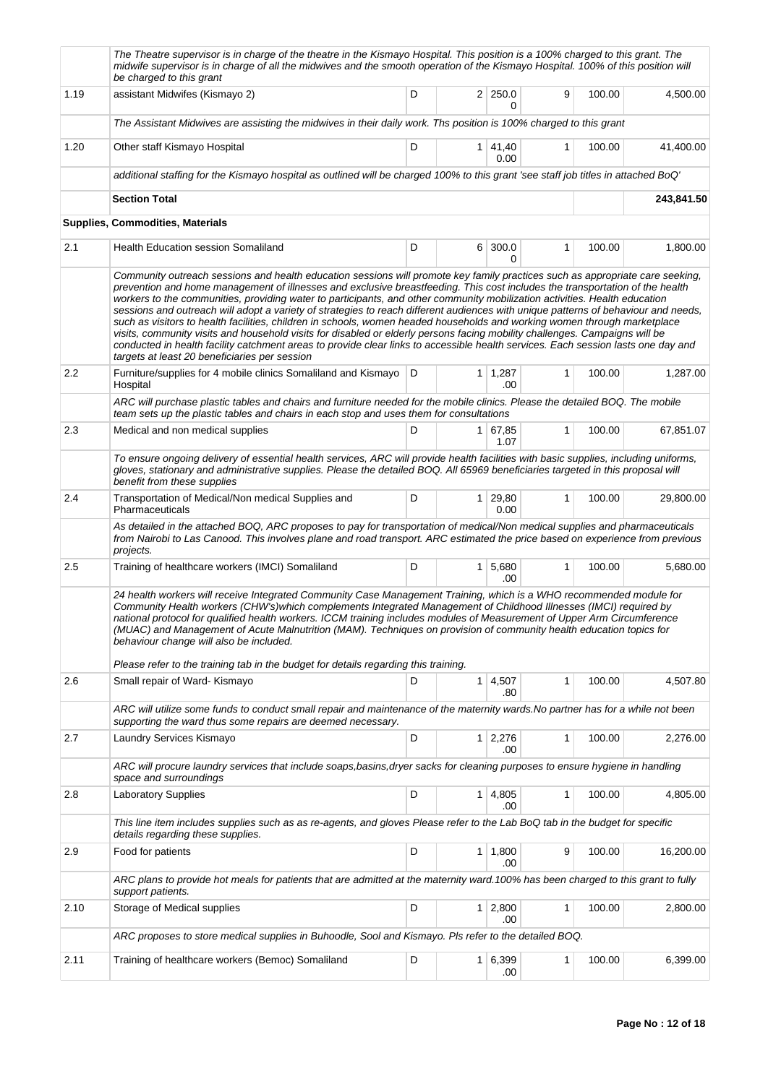|                  | The Theatre supervisor is in charge of the theatre in the Kismayo Hospital. This position is a 100% charged to this grant. The<br>midwife supervisor is in charge of all the midwives and the smooth operation of the Kismayo Hospital. 100% of this position will<br>be charged to this grant                                                                                                                                                                                                                                                                                                                                                                                                                                                                                                                                                                                                                                                                                      |   |                              |              |        |            |
|------------------|-------------------------------------------------------------------------------------------------------------------------------------------------------------------------------------------------------------------------------------------------------------------------------------------------------------------------------------------------------------------------------------------------------------------------------------------------------------------------------------------------------------------------------------------------------------------------------------------------------------------------------------------------------------------------------------------------------------------------------------------------------------------------------------------------------------------------------------------------------------------------------------------------------------------------------------------------------------------------------------|---|------------------------------|--------------|--------|------------|
| 1.19             | assistant Midwifes (Kismayo 2)                                                                                                                                                                                                                                                                                                                                                                                                                                                                                                                                                                                                                                                                                                                                                                                                                                                                                                                                                      | D | 2 250.0<br>0                 | 9            | 100.00 | 4,500.00   |
|                  | The Assistant Midwives are assisting the midwives in their daily work. Ths position is 100% charged to this grant                                                                                                                                                                                                                                                                                                                                                                                                                                                                                                                                                                                                                                                                                                                                                                                                                                                                   |   |                              |              |        |            |
| 1.20             | Other staff Kismayo Hospital                                                                                                                                                                                                                                                                                                                                                                                                                                                                                                                                                                                                                                                                                                                                                                                                                                                                                                                                                        | D | $1 \mid 41,40$<br>0.00       | 1            | 100.00 | 41,400.00  |
|                  | additional staffing for the Kismayo hospital as outlined will be charged 100% to this grant 'see staff job titles in attached BoQ'                                                                                                                                                                                                                                                                                                                                                                                                                                                                                                                                                                                                                                                                                                                                                                                                                                                  |   |                              |              |        |            |
|                  | <b>Section Total</b>                                                                                                                                                                                                                                                                                                                                                                                                                                                                                                                                                                                                                                                                                                                                                                                                                                                                                                                                                                |   |                              |              |        | 243,841.50 |
|                  | <b>Supplies, Commodities, Materials</b>                                                                                                                                                                                                                                                                                                                                                                                                                                                                                                                                                                                                                                                                                                                                                                                                                                                                                                                                             |   |                              |              |        |            |
| 2.1              | <b>Health Education session Somaliland</b>                                                                                                                                                                                                                                                                                                                                                                                                                                                                                                                                                                                                                                                                                                                                                                                                                                                                                                                                          | D | 6 300.0<br>0                 | 1            | 100.00 | 1,800.00   |
|                  | Community outreach sessions and health education sessions will promote key family practices such as appropriate care seeking,<br>prevention and home management of illnesses and exclusive breastfeeding. This cost includes the transportation of the health<br>workers to the communities, providing water to participants, and other community mobilization activities. Health education<br>sessions and outreach will adopt a variety of strategies to reach different audiences with unique patterns of behaviour and needs,<br>such as visitors to health facilities, children in schools, women headed households and working women through marketplace<br>visits, community visits and household visits for disabled or elderly persons facing mobility challenges. Campaigns will be<br>conducted in health facility catchment areas to provide clear links to accessible health services. Each session lasts one day and<br>targets at least 20 beneficiaries per session |   |                              |              |        |            |
| $2.2\phantom{0}$ | Furniture/supplies for 4 mobile clinics Somaliland and Kismayo<br>Hospital                                                                                                                                                                                                                                                                                                                                                                                                                                                                                                                                                                                                                                                                                                                                                                                                                                                                                                          | D | $1 \mid 1,287$<br>.00        | $\mathbf{1}$ | 100.00 | 1.287.00   |
|                  | ARC will purchase plastic tables and chairs and furniture needed for the mobile clinics. Please the detailed BOQ. The mobile<br>team sets up the plastic tables and chairs in each stop and uses them for consultations                                                                                                                                                                                                                                                                                                                                                                                                                                                                                                                                                                                                                                                                                                                                                             |   |                              |              |        |            |
| 2.3              | Medical and non medical supplies                                                                                                                                                                                                                                                                                                                                                                                                                                                                                                                                                                                                                                                                                                                                                                                                                                                                                                                                                    | D | 1 67,85<br>1.07              | $\mathbf{1}$ | 100.00 | 67,851.07  |
|                  | To ensure ongoing delivery of essential health services, ARC will provide health facilities with basic supplies, including uniforms,<br>gloves, stationary and administrative supplies. Please the detailed BOQ. All 65969 beneficiaries targeted in this proposal will<br>benefit from these supplies                                                                                                                                                                                                                                                                                                                                                                                                                                                                                                                                                                                                                                                                              |   |                              |              |        |            |
| 2.4              | Transportation of Medical/Non medical Supplies and<br>Pharmaceuticals                                                                                                                                                                                                                                                                                                                                                                                                                                                                                                                                                                                                                                                                                                                                                                                                                                                                                                               | D | 1 29,80<br>0.00              | $\mathbf{1}$ | 100.00 | 29,800.00  |
|                  | As detailed in the attached BOQ, ARC proposes to pay for transportation of medical/Non medical supplies and pharmaceuticals<br>from Nairobi to Las Canood. This involves plane and road transport. ARC estimated the price based on experience from previous<br>projects.                                                                                                                                                                                                                                                                                                                                                                                                                                                                                                                                                                                                                                                                                                           |   |                              |              |        |            |
| $2.5\,$          | Training of healthcare workers (IMCI) Somaliland                                                                                                                                                                                                                                                                                                                                                                                                                                                                                                                                                                                                                                                                                                                                                                                                                                                                                                                                    | D | 1 5,680<br>.00               | 1            | 100.00 | 5,680.00   |
|                  | 24 health workers will receive Integrated Community Case Management Training, which is a WHO recommended module for<br>Community Health workers (CHW's)which complements Integrated Management of Childhood Illnesses (IMCI) required by<br>national protocol for qualified health workers. ICCM training includes modules of Measurement of Upper Arm Circumference<br>(MUAC) and Management of Acute Malnutrition (MAM). Techniques on provision of community health education topics for<br>behaviour change will also be included.<br>Please refer to the training tab in the budget for details regarding this training.                                                                                                                                                                                                                                                                                                                                                       |   |                              |              |        |            |
| 2.6              | Small repair of Ward- Kismayo                                                                                                                                                                                                                                                                                                                                                                                                                                                                                                                                                                                                                                                                                                                                                                                                                                                                                                                                                       | D | $1 \mid 4,507$<br>.80        | 1            | 100.00 | 4,507.80   |
|                  | ARC will utilize some funds to conduct small repair and maintenance of the maternity wards. No partner has for a while not been<br>supporting the ward thus some repairs are deemed necessary.                                                                                                                                                                                                                                                                                                                                                                                                                                                                                                                                                                                                                                                                                                                                                                                      |   |                              |              |        |            |
| 2.7              | Laundry Services Kismayo                                                                                                                                                                                                                                                                                                                                                                                                                                                                                                                                                                                                                                                                                                                                                                                                                                                                                                                                                            | D | $1 \mid 2,276$<br>.00        | 1            | 100.00 | 2,276.00   |
|                  | ARC will procure laundry services that include soaps, basins, dryer sacks for cleaning purposes to ensure hygiene in handling<br>space and surroundings                                                                                                                                                                                                                                                                                                                                                                                                                                                                                                                                                                                                                                                                                                                                                                                                                             |   |                              |              |        |            |
| 2.8              | Laboratory Supplies                                                                                                                                                                                                                                                                                                                                                                                                                                                                                                                                                                                                                                                                                                                                                                                                                                                                                                                                                                 | D | $1 \mid 4,805$<br>.00        | 1            | 100.00 | 4,805.00   |
|                  | This line item includes supplies such as as re-agents, and gloves Please refer to the Lab BoQ tab in the budget for specific<br>details regarding these supplies.                                                                                                                                                                                                                                                                                                                                                                                                                                                                                                                                                                                                                                                                                                                                                                                                                   |   |                              |              |        |            |
| 2.9              | Food for patients                                                                                                                                                                                                                                                                                                                                                                                                                                                                                                                                                                                                                                                                                                                                                                                                                                                                                                                                                                   | D | $1 \mid 1,800$<br>.00        | 9            | 100.00 | 16,200.00  |
|                  | ARC plans to provide hot meals for patients that are admitted at the maternity ward.100% has been charged to this grant to fully<br>support patients.                                                                                                                                                                                                                                                                                                                                                                                                                                                                                                                                                                                                                                                                                                                                                                                                                               |   |                              |              |        |            |
| 2.10             | Storage of Medical supplies                                                                                                                                                                                                                                                                                                                                                                                                                                                                                                                                                                                                                                                                                                                                                                                                                                                                                                                                                         | D | $1 \overline{)2,800}$<br>.00 | 1            | 100.00 | 2,800.00   |
|                  | ARC proposes to store medical supplies in Buhoodle, Sool and Kismayo. Pls refer to the detailed BOQ.                                                                                                                                                                                                                                                                                                                                                                                                                                                                                                                                                                                                                                                                                                                                                                                                                                                                                |   |                              |              |        |            |
| 2.11             | Training of healthcare workers (Bemoc) Somaliland                                                                                                                                                                                                                                                                                                                                                                                                                                                                                                                                                                                                                                                                                                                                                                                                                                                                                                                                   | D | 1 6,399<br>.00               | 1            | 100.00 | 6,399.00   |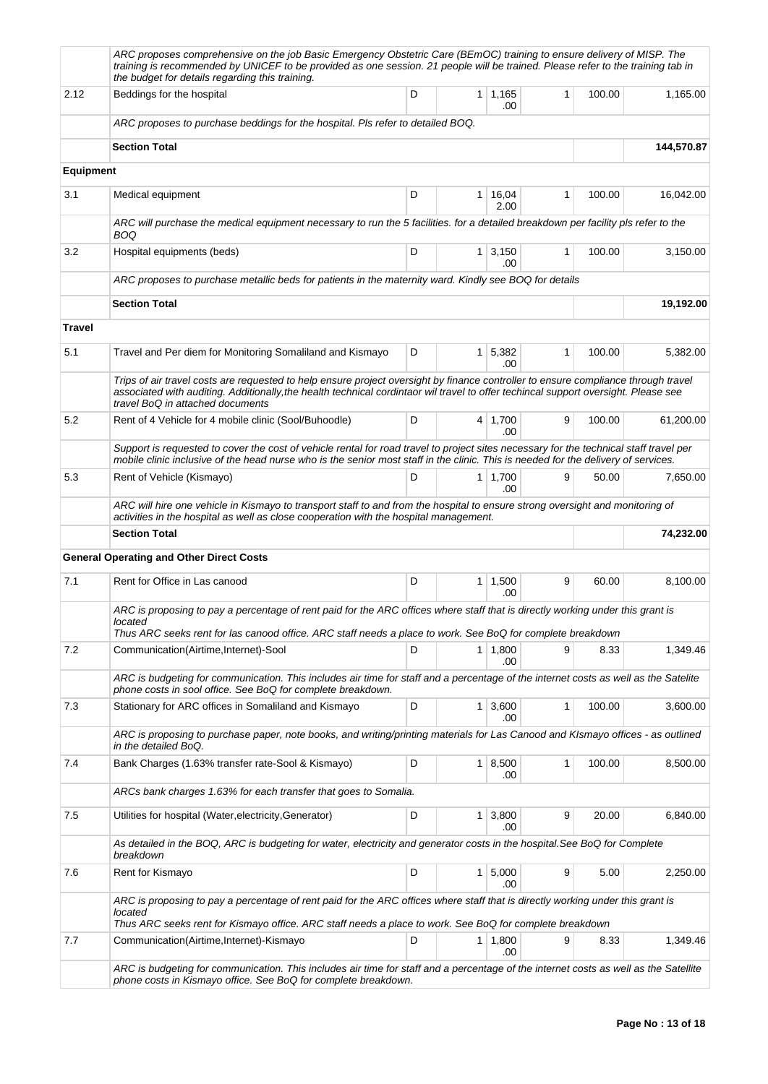|                  | ARC proposes comprehensive on the job Basic Emergency Obstetric Care (BEmOC) training to ensure delivery of MISP. The<br>training is recommended by UNICEF to be provided as one session. 21 people will be trained. Please refer to the training tab in<br>the budget for details regarding this training.   |   |                |                              |   |        |            |
|------------------|---------------------------------------------------------------------------------------------------------------------------------------------------------------------------------------------------------------------------------------------------------------------------------------------------------------|---|----------------|------------------------------|---|--------|------------|
| 2.12             | Beddings for the hospital                                                                                                                                                                                                                                                                                     | D |                | $1 \mid 1,165$<br>.00        | 1 | 100.00 | 1,165.00   |
|                  | ARC proposes to purchase beddings for the hospital. Pls refer to detailed BOQ.                                                                                                                                                                                                                                |   |                |                              |   |        |            |
|                  | <b>Section Total</b>                                                                                                                                                                                                                                                                                          |   |                |                              |   |        | 144,570.87 |
| <b>Equipment</b> |                                                                                                                                                                                                                                                                                                               |   |                |                              |   |        |            |
| 3.1              | Medical equipment                                                                                                                                                                                                                                                                                             | D |                | $1 \mid 16,04$<br>2.00       | 1 | 100.00 | 16,042.00  |
|                  | ARC will purchase the medical equipment necessary to run the 5 facilities. for a detailed breakdown per facility pls refer to the<br>BOQ                                                                                                                                                                      |   |                |                              |   |        |            |
| 3.2              | Hospital equipments (beds)                                                                                                                                                                                                                                                                                    | D |                | $1 \mid 3,150$<br>.00        | 1 | 100.00 | 3,150.00   |
|                  | ARC proposes to purchase metallic beds for patients in the maternity ward. Kindly see BOQ for details                                                                                                                                                                                                         |   |                |                              |   |        |            |
|                  | <b>Section Total</b>                                                                                                                                                                                                                                                                                          |   |                |                              |   |        | 19,192.00  |
| <b>Travel</b>    |                                                                                                                                                                                                                                                                                                               |   |                |                              |   |        |            |
| 5.1              | Travel and Per diem for Monitoring Somaliland and Kismayo                                                                                                                                                                                                                                                     | D |                | $1 \overline{5,382}$<br>.00  | 1 | 100.00 | 5,382.00   |
|                  | Trips of air travel costs are requested to help ensure project oversight by finance controller to ensure compliance through travel<br>associated with auditing. Additionally, the health technical cordintaor wil travel to offer techincal support oversight. Please see<br>travel BoQ in attached documents |   |                |                              |   |        |            |
| 5.2              | Rent of 4 Vehicle for 4 mobile clinic (Sool/Buhoodle)                                                                                                                                                                                                                                                         | D |                | $4 \mid 1,700$<br>.00        | 9 | 100.00 | 61,200.00  |
|                  | Support is requested to cover the cost of vehicle rental for road travel to project sites necessary for the technical staff travel per<br>mobile clinic inclusive of the head nurse who is the senior most staff in the clinic. This is needed for the delivery of services.                                  |   |                |                              |   |        |            |
| 5.3              | Rent of Vehicle (Kismayo)                                                                                                                                                                                                                                                                                     | D |                | 1   1,700<br>.00             | 9 | 50.00  | 7,650.00   |
|                  | ARC will hire one vehicle in Kismayo to transport staff to and from the hospital to ensure strong oversight and monitoring of<br>activities in the hospital as well as close cooperation with the hospital management.                                                                                        |   |                |                              |   |        |            |
|                  | <b>Section Total</b>                                                                                                                                                                                                                                                                                          |   |                |                              |   |        | 74,232.00  |
|                  | <b>General Operating and Other Direct Costs</b>                                                                                                                                                                                                                                                               |   |                |                              |   |        |            |
| 7.1              | Rent for Office in Las canood                                                                                                                                                                                                                                                                                 | D |                | $1 \mid 1,500$<br>.00        | 9 | 60.00  | 8,100.00   |
|                  | ARC is proposing to pay a percentage of rent paid for the ARC offices where staff that is directly working under this grant is<br>located<br>Thus ARC seeks rent for las canood office. ARC staff needs a place to work. See BoQ for complete breakdown                                                       |   |                |                              |   |        |            |
| 7.2              | Communication(Airtime,Internet)-Sool                                                                                                                                                                                                                                                                          | D | 1              | 1,800<br>.00                 | 9 | 8.33   | 1,349.46   |
|                  | ARC is budgeting for communication. This includes air time for staff and a percentage of the internet costs as well as the Satelite<br>phone costs in sool office. See BoQ for complete breakdown.                                                                                                            |   |                |                              |   |        |            |
| 7.3              | Stationary for ARC offices in Somaliland and Kismayo                                                                                                                                                                                                                                                          | D |                | $1 \overline{)3,600}$<br>.00 | 1 | 100.00 | 3,600.00   |
|                  | ARC is proposing to purchase paper, note books, and writing/printing materials for Las Canood and KIsmayo offices - as outlined<br>in the detailed BoQ.                                                                                                                                                       |   |                |                              |   |        |            |
| 7.4              | Bank Charges (1.63% transfer rate-Sool & Kismayo)                                                                                                                                                                                                                                                             | D |                | 1   8,500<br>.00             | 1 | 100.00 | 8,500.00   |
|                  | ARCs bank charges 1.63% for each transfer that goes to Somalia.                                                                                                                                                                                                                                               |   |                |                              |   |        |            |
| 7.5              | Utilities for hospital (Water, electricity, Generator)                                                                                                                                                                                                                                                        | D | 1              | 3,800<br>.00                 | 9 | 20.00  | 6,840.00   |
|                  | As detailed in the BOQ, ARC is budgeting for water, electricity and generator costs in the hospital.See BoQ for Complete<br>breakdown                                                                                                                                                                         |   |                |                              |   |        |            |
| 7.6              | Rent for Kismayo                                                                                                                                                                                                                                                                                              | D | 1 <sup>1</sup> | 5,000<br>.00                 | 9 | 5.00   | 2,250.00   |
|                  | ARC is proposing to pay a percentage of rent paid for the ARC offices where staff that is directly working under this grant is<br>located                                                                                                                                                                     |   |                |                              |   |        |            |
| 7.7              | Thus ARC seeks rent for Kismayo office. ARC staff needs a place to work. See BoQ for complete breakdown<br>Communication(Airtime,Internet)-Kismayo                                                                                                                                                            | D |                | $1 \mid 1,800$               | 9 | 8.33   | 1,349.46   |
|                  |                                                                                                                                                                                                                                                                                                               |   |                | .00                          |   |        |            |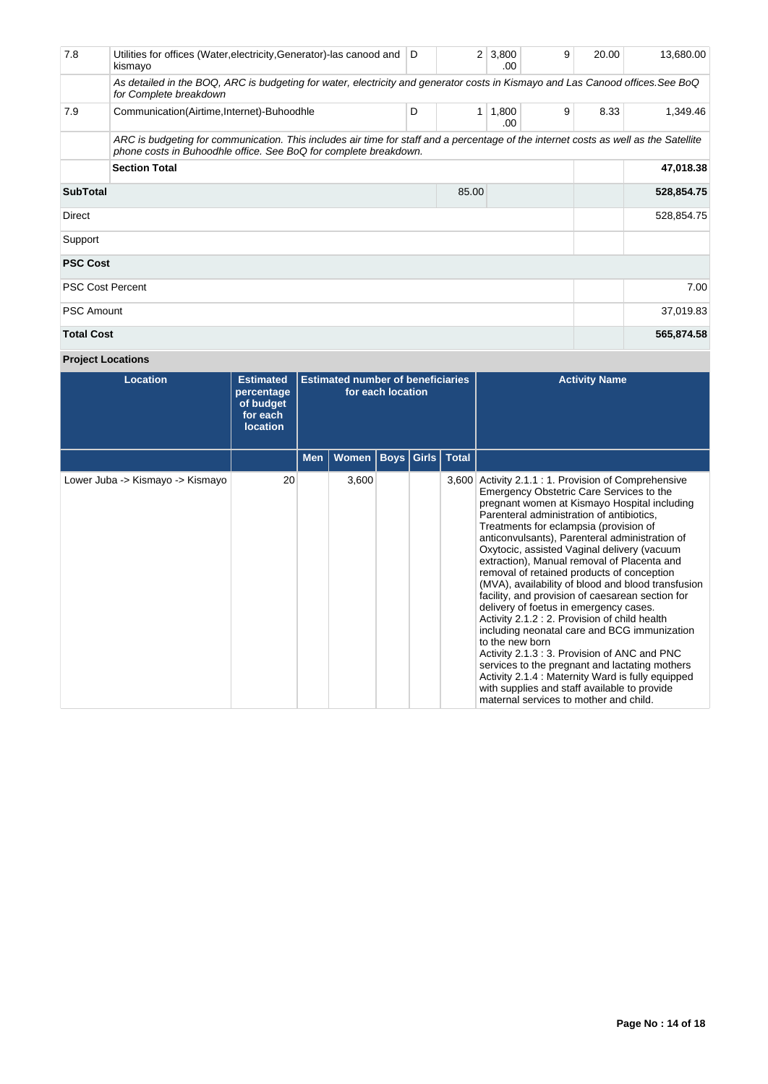| 7.8                     | Utilities for offices (Water, electricity, Generator)-las canood and D<br>kismayo                                                                                                                        |   |           | $2 \mid 3,800$<br>.00 | 9 | 20.00 | 13,680.00  |
|-------------------------|----------------------------------------------------------------------------------------------------------------------------------------------------------------------------------------------------------|---|-----------|-----------------------|---|-------|------------|
|                         | As detailed in the BOQ, ARC is budgeting for water, electricity and generator costs in Kismayo and Las Canood offices. See BoQ<br>for Complete breakdown                                                 |   |           |                       |   |       |            |
| 7.9                     | Communication(Airtime,Internet)-Buhoodhle                                                                                                                                                                | D | 1         | 1,800<br>.00          | 9 | 8.33  | 1,349.46   |
|                         | ARC is budgeting for communication. This includes air time for staff and a percentage of the internet costs as well as the Satellite<br>phone costs in Buhoodhle office. See BoQ for complete breakdown. |   |           |                       |   |       |            |
|                         | <b>Section Total</b>                                                                                                                                                                                     |   | 47,018.38 |                       |   |       |            |
| <b>SubTotal</b>         |                                                                                                                                                                                                          |   |           | 528,854.75            |   |       |            |
| Direct                  |                                                                                                                                                                                                          |   |           |                       |   |       | 528,854.75 |
| Support                 |                                                                                                                                                                                                          |   |           |                       |   |       |            |
| <b>PSC Cost</b>         |                                                                                                                                                                                                          |   |           |                       |   |       |            |
| <b>PSC Cost Percent</b> |                                                                                                                                                                                                          |   |           |                       |   |       | 7.00       |
| <b>PSC Amount</b>       |                                                                                                                                                                                                          |   |           | 37,019.83             |   |       |            |
| <b>Total Cost</b>       |                                                                                                                                                                                                          |   |           | 565,874.58            |   |       |            |

# **Project Locations**

| <b>Location</b>                  | <b>Estimated</b><br>percentage<br>of budget<br>for each<br><b>location</b> | <b>Estimated number of beneficiaries</b><br>for each location |                      |  |  |              | <b>Activity Name</b>                                                                                                                                                                                                                                                                                                                                                                                                                                                                                                                                                                                                                                                                                                                                                                                                                                                                                                                                   |
|----------------------------------|----------------------------------------------------------------------------|---------------------------------------------------------------|----------------------|--|--|--------------|--------------------------------------------------------------------------------------------------------------------------------------------------------------------------------------------------------------------------------------------------------------------------------------------------------------------------------------------------------------------------------------------------------------------------------------------------------------------------------------------------------------------------------------------------------------------------------------------------------------------------------------------------------------------------------------------------------------------------------------------------------------------------------------------------------------------------------------------------------------------------------------------------------------------------------------------------------|
|                                  |                                                                            | Men $ $                                                       | Women   Boys   Girls |  |  | <b>Total</b> |                                                                                                                                                                                                                                                                                                                                                                                                                                                                                                                                                                                                                                                                                                                                                                                                                                                                                                                                                        |
| Lower Juba -> Kismayo -> Kismayo | 20                                                                         |                                                               | 3,600                |  |  | 3,600        | Activity 2.1.1: 1. Provision of Comprehensive<br>Emergency Obstetric Care Services to the<br>pregnant women at Kismayo Hospital including<br>Parenteral administration of antibiotics,<br>Treatments for eclampsia (provision of<br>anticonvulsants), Parenteral administration of<br>Oxytocic, assisted Vaginal delivery (vacuum<br>extraction), Manual removal of Placenta and<br>removal of retained products of conception<br>(MVA), availability of blood and blood transfusion<br>facility, and provision of caesarean section for<br>delivery of foetus in emergency cases.<br>Activity 2.1.2 : 2. Provision of child health<br>including neonatal care and BCG immunization<br>to the new born<br>Activity 2.1.3: 3. Provision of ANC and PNC<br>services to the pregnant and lactating mothers<br>Activity 2.1.4 : Maternity Ward is fully equipped<br>with supplies and staff available to provide<br>maternal services to mother and child. |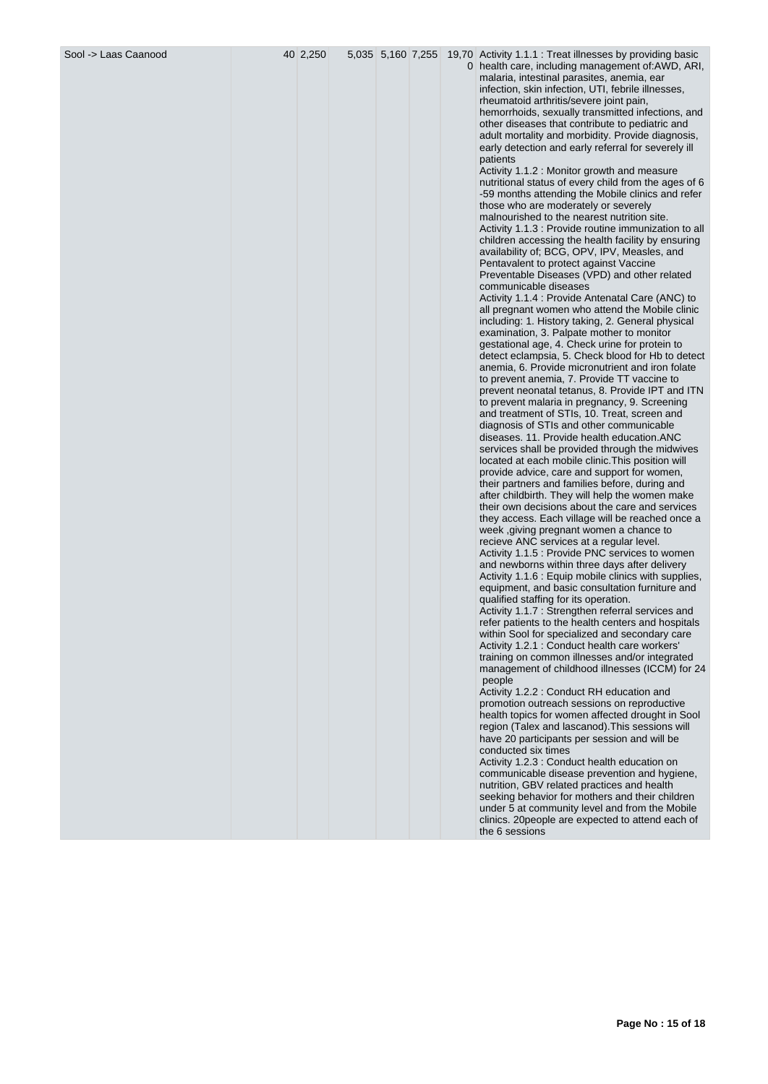|  |  | Sool -> Laas Caanood |  |
|--|--|----------------------|--|
|--|--|----------------------|--|

Sool -> Laas Caanood 40 2,250 5,035 5,160 7,255 19,70 Activity 1.1.1 : Treat illnesses by providing basic

0 health care, including management of:AWD, ARI, malaria, intestinal parasites, anemia, ear infection, skin infection, UTI, febrile illnesses, rheumatoid arthritis/severe joint pain, hemorrhoids, sexually transmitted infections, and other diseases that contribute to pediatric and adult mortality and morbidity. Provide diagnosis, early detection and early referral for severely ill patients

Activity 1.1.2 : Monitor growth and measure nutritional status of every child from the ages of 6 -59 months attending the Mobile clinics and refer those who are moderately or severely malnourished to the nearest nutrition site. Activity 1.1.3 : Provide routine immunization to all children accessing the health facility by ensuring availability of; BCG, OPV, IPV, Measles, and Pentavalent to protect against Vaccine Preventable Diseases (VPD) and other related communicable diseases

Activity 1.1.4 : Provide Antenatal Care (ANC) to all pregnant women who attend the Mobile clinic including: 1. History taking, 2. General physical examination, 3. Palpate mother to monitor gestational age, 4. Check urine for protein to detect eclampsia, 5. Check blood for Hb to detect anemia, 6. Provide micronutrient and iron folate to prevent anemia, 7. Provide TT vaccine to prevent neonatal tetanus, 8. Provide IPT and ITN to prevent malaria in pregnancy, 9. Screening and treatment of STIs, 10. Treat, screen and diagnosis of STIs and other communicable diseases. 11. Provide health education.ANC services shall be provided through the midwives located at each mobile clinic.This position will provide advice, care and support for women, their partners and families before, during and after childbirth. They will help the women make their own decisions about the care and services they access. Each village will be reached once a week ,giving pregnant women a chance to recieve ANC services at a regular level. Activity 1.1.5 : Provide PNC services to women and newborns within three days after delivery Activity 1.1.6 : Equip mobile clinics with supplies, equipment, and basic consultation furniture and qualified staffing for its operation. Activity 1.1.7 : Strengthen referral services and refer patients to the health centers and hospitals within Sool for specialized and secondary care Activity 1.2.1 : Conduct health care workers' training on common illnesses and/or integrated

management of childhood illnesses (ICCM) for 24 people Activity 1.2.2 : Conduct RH education and promotion outreach sessions on reproductive health topics for women affected drought in Sool region (Talex and lascanod).This sessions will

have 20 participants per session and will be conducted six times Activity 1.2.3 : Conduct health education on communicable disease prevention and hygiene, nutrition, GBV related practices and health seeking behavior for mothers and their children under 5 at community level and from the Mobile

clinics. 20people are expected to attend each of the 6 sessions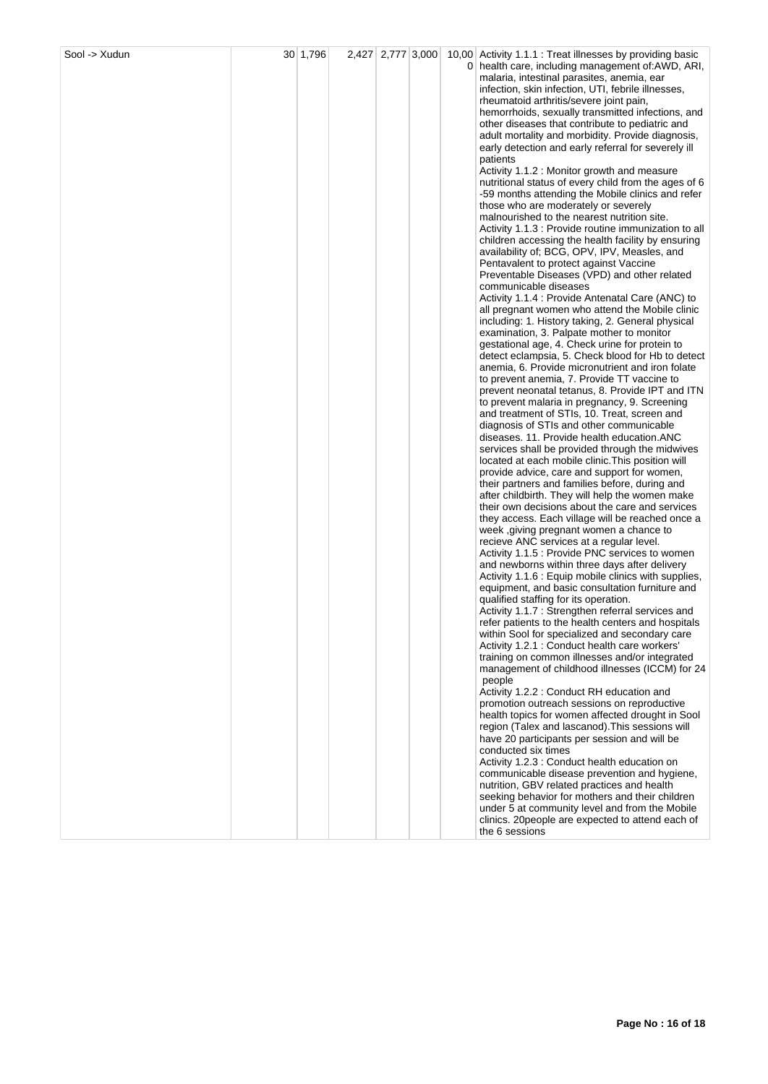| Sool -> Xudun | 30 1,796 | 2,427 2,777 3,000 |  | 10,00 Activity 1.1.1 : Treat illnesses by providing basic<br>0 health care, including management of: AWD, ARI,<br>malaria, intestinal parasites, anemia, ear<br>infection, skin infection, UTI, febrile illnesses,<br>rheumatoid arthritis/severe joint pain,<br>hemorrhoids, sexually transmitted infections, and<br>other diseases that contribute to pediatric and<br>adult mortality and morbidity. Provide diagnosis,<br>early detection and early referral for severely ill<br>patients<br>Activity 1.1.2 : Monitor growth and measure<br>nutritional status of every child from the ages of 6<br>-59 months attending the Mobile clinics and refer<br>those who are moderately or severely<br>malnourished to the nearest nutrition site.<br>Activity 1.1.3 : Provide routine immunization to all<br>children accessing the health facility by ensuring<br>availability of; BCG, OPV, IPV, Measles, and<br>Pentavalent to protect against Vaccine<br>Preventable Diseases (VPD) and other related<br>communicable diseases<br>Activity 1.1.4 : Provide Antenatal Care (ANC) to<br>all pregnant women who attend the Mobile clinic<br>including: 1. History taking, 2. General physical<br>examination, 3. Palpate mother to monitor<br>gestational age, 4. Check urine for protein to                                                                                                                                                                                                                                                   |
|---------------|----------|-------------------|--|------------------------------------------------------------------------------------------------------------------------------------------------------------------------------------------------------------------------------------------------------------------------------------------------------------------------------------------------------------------------------------------------------------------------------------------------------------------------------------------------------------------------------------------------------------------------------------------------------------------------------------------------------------------------------------------------------------------------------------------------------------------------------------------------------------------------------------------------------------------------------------------------------------------------------------------------------------------------------------------------------------------------------------------------------------------------------------------------------------------------------------------------------------------------------------------------------------------------------------------------------------------------------------------------------------------------------------------------------------------------------------------------------------------------------------------------------------------------------------------------------------------------------------------------|
|               |          |                   |  | detect eclampsia, 5. Check blood for Hb to detect<br>anemia, 6. Provide micronutrient and iron folate<br>to prevent anemia, 7. Provide TT vaccine to<br>prevent neonatal tetanus, 8. Provide IPT and ITN<br>to prevent malaria in pregnancy, 9. Screening<br>and treatment of STIs, 10. Treat, screen and<br>diagnosis of STIs and other communicable<br>diseases. 11. Provide health education. ANC<br>services shall be provided through the midwives<br>located at each mobile clinic. This position will<br>provide advice, care and support for women,<br>their partners and families before, during and<br>after childbirth. They will help the women make<br>their own decisions about the care and services<br>they access. Each village will be reached once a<br>week, giving pregnant women a chance to<br>recieve ANC services at a regular level.<br>Activity 1.1.5 : Provide PNC services to women<br>and newborns within three days after delivery<br>Activity 1.1.6 : Equip mobile clinics with supplies,<br>equipment, and basic consultation furniture and<br>qualified staffing for its operation.<br>Activity 1.1.7 : Strengthen referral services and<br>refer patients to the health centers and hospitals<br>within Sool for specialized and secondary care<br>Activity 1.2.1 : Conduct health care workers'<br>training on common illnesses and/or integrated<br>management of childhood illnesses (ICCM) for 24<br>people<br>Activity 1.2.2 : Conduct RH education and<br>promotion outreach sessions on reproductive |
|               |          |                   |  | health topics for women affected drought in Sool<br>region (Talex and lascanod). This sessions will<br>have 20 participants per session and will be<br>conducted six times<br>Activity 1.2.3 : Conduct health education on<br>communicable disease prevention and hygiene,<br>nutrition, GBV related practices and health<br>seeking behavior for mothers and their children<br>under 5 at community level and from the Mobile<br>clinics. 20 people are expected to attend each of<br>the 6 sessions                                                                                                                                                                                                                                                                                                                                                                                                                                                                                                                                                                                                                                                                                                                                                                                                                                                                                                                                                                                                                                          |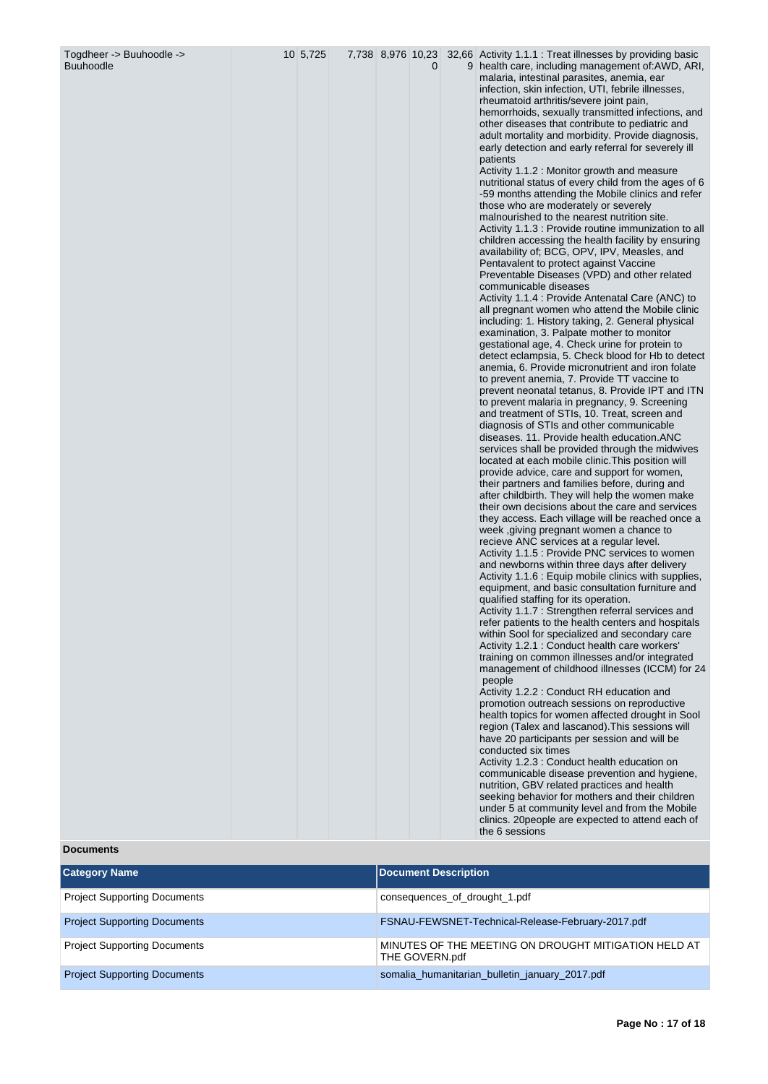| Togdheer -> Buuhoodle -><br><b>Buuhoodle</b> | 10 5,725 |  | 0 | 7,738 8,976 10,23 32,66 Activity 1.1.1 : Treat illnesses by providing basic<br>9 health care, including management of: AWD, ARI,<br>malaria, intestinal parasites, anemia, ear<br>infection, skin infection, UTI, febrile illnesses,<br>rheumatoid arthritis/severe joint pain,<br>hemorrhoids, sexually transmitted infections, and<br>other diseases that contribute to pediatric and<br>adult mortality and morbidity. Provide diagnosis,<br>early detection and early referral for severely ill<br>patients<br>Activity 1.1.2 : Monitor growth and measure<br>nutritional status of every child from the ages of 6<br>-59 months attending the Mobile clinics and refer<br>those who are moderately or severely<br>malnourished to the nearest nutrition site.<br>Activity 1.1.3 : Provide routine immunization to all<br>children accessing the health facility by ensuring<br>availability of; BCG, OPV, IPV, Measles, and<br>Pentavalent to protect against Vaccine<br>Preventable Diseases (VPD) and other related<br>communicable diseases<br>Activity 1.1.4 : Provide Antenatal Care (ANC) to<br>all pregnant women who attend the Mobile clinic<br>including: 1. History taking, 2. General physical<br>examination, 3. Palpate mother to monitor<br>gestational age, 4. Check urine for protein to<br>detect eclampsia, 5. Check blood for Hb to detect<br>anemia, 6. Provide micronutrient and iron folate<br>to prevent anemia, 7. Provide TT vaccine to<br>prevent neonatal tetanus, 8. Provide IPT and ITN<br>to prevent malaria in pregnancy, 9. Screening<br>and treatment of STIs, 10. Treat, screen and<br>diagnosis of STIs and other communicable<br>diseases. 11. Provide health education.ANC<br>services shall be provided through the midwives<br>located at each mobile clinic. This position will<br>provide advice, care and support for women,<br>their partners and families before, during and<br>after childbirth. They will help the women make<br>their own decisions about the care and services<br>they access. Each village will be reached once a<br>week, giving pregnant women a chance to<br>recieve ANC services at a regular level.<br>Activity 1.1.5 : Provide PNC services to women<br>and newborns within three days after delivery<br>Activity 1.1.6 : Equip mobile clinics with supplies,<br>equipment, and basic consultation furniture and<br>qualified staffing for its operation.<br>Activity 1.1.7 : Strengthen referral services and<br>refer patients to the health centers and hospitals<br>within Sool for specialized and secondary care<br>Activity 1.2.1 : Conduct health care workers'<br>training on common illnesses and/or integrated<br>management of childhood illnesses (ICCM) for 24<br>people<br>Activity 1.2.2 : Conduct RH education and<br>promotion outreach sessions on reproductive<br>health topics for women affected drought in Sool<br>region (Talex and lascanod). This sessions will<br>have 20 participants per session and will be<br>conducted six times<br>Activity 1.2.3 : Conduct health education on<br>communicable disease prevention and hygiene,<br>nutrition, GBV related practices and health |
|----------------------------------------------|----------|--|---|----------------------------------------------------------------------------------------------------------------------------------------------------------------------------------------------------------------------------------------------------------------------------------------------------------------------------------------------------------------------------------------------------------------------------------------------------------------------------------------------------------------------------------------------------------------------------------------------------------------------------------------------------------------------------------------------------------------------------------------------------------------------------------------------------------------------------------------------------------------------------------------------------------------------------------------------------------------------------------------------------------------------------------------------------------------------------------------------------------------------------------------------------------------------------------------------------------------------------------------------------------------------------------------------------------------------------------------------------------------------------------------------------------------------------------------------------------------------------------------------------------------------------------------------------------------------------------------------------------------------------------------------------------------------------------------------------------------------------------------------------------------------------------------------------------------------------------------------------------------------------------------------------------------------------------------------------------------------------------------------------------------------------------------------------------------------------------------------------------------------------------------------------------------------------------------------------------------------------------------------------------------------------------------------------------------------------------------------------------------------------------------------------------------------------------------------------------------------------------------------------------------------------------------------------------------------------------------------------------------------------------------------------------------------------------------------------------------------------------------------------------------------------------------------------------------------------------------------------------------------------------------------------------------------------------------------------------------------------------------------------------------------------------------------------------------------------------------------------------------------------------------------------------------------------------------------|
|                                              |          |  |   | seeking behavior for mothers and their children<br>under 5 at community level and from the Mobile<br>clinics. 20 people are expected to attend each of<br>the 6 sessions                                                                                                                                                                                                                                                                                                                                                                                                                                                                                                                                                                                                                                                                                                                                                                                                                                                                                                                                                                                                                                                                                                                                                                                                                                                                                                                                                                                                                                                                                                                                                                                                                                                                                                                                                                                                                                                                                                                                                                                                                                                                                                                                                                                                                                                                                                                                                                                                                                                                                                                                                                                                                                                                                                                                                                                                                                                                                                                                                                                                                     |

# **Documents**

| <b>Category Name</b>                | <b>Document Description</b>                                            |
|-------------------------------------|------------------------------------------------------------------------|
| <b>Project Supporting Documents</b> | consequences_of_drought_1.pdf                                          |
| <b>Project Supporting Documents</b> | FSNAU-FEWSNET-Technical-Release-February-2017.pdf                      |
| <b>Project Supporting Documents</b> | MINUTES OF THE MEETING ON DROUGHT MITIGATION HELD AT<br>THE GOVERN.pdf |
| <b>Project Supporting Documents</b> | somalia_humanitarian_bulletin_january_2017.pdf                         |